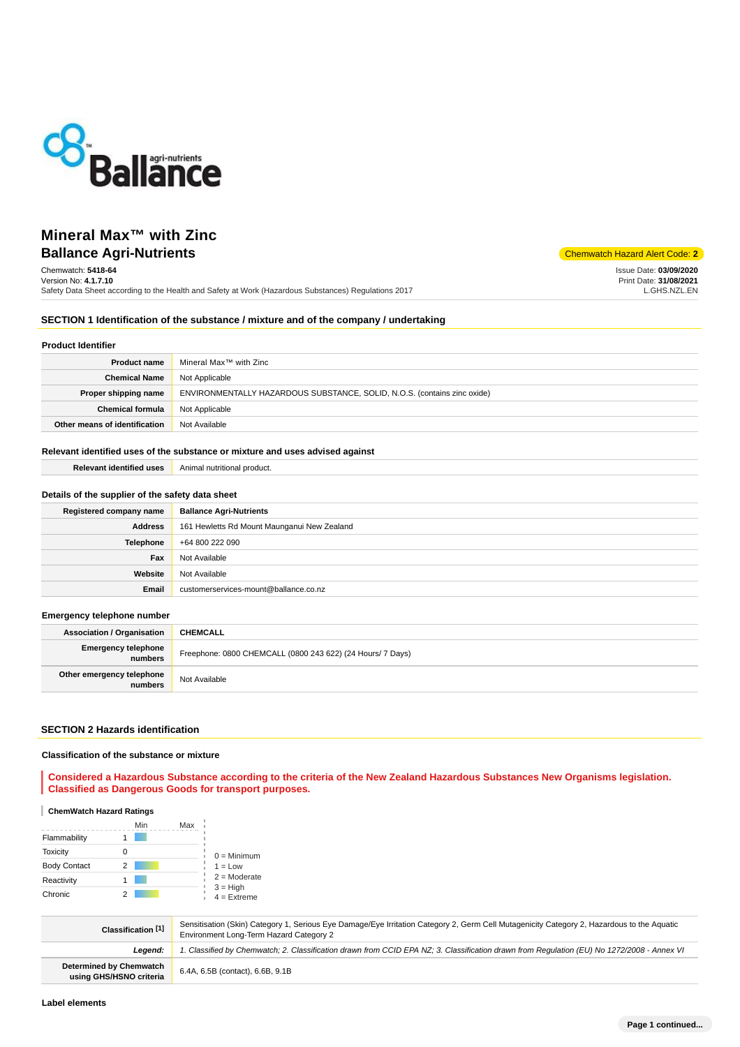

# **Ballance Agri-Nutrients** Chemwatch Hazard Alert Code: 2 **Mineral Max™ with Zinc**

Chemwatch: **5418-64** Version No: **4.1.7.10**

Safety Data Sheet according to the Health and Safety at Work (Hazardous Substances) Regulations 2017

Issue Date: **03/09/2020** Print Date: **31/08/2021** L.GHS.NZL.EN

# **SECTION 1 Identification of the substance / mixture and of the company / undertaking**

### **Product Identifier**

| <b>Product name</b>           | Mineral Max™ with Zinc                                                   |
|-------------------------------|--------------------------------------------------------------------------|
| <b>Chemical Name</b>          | Not Applicable                                                           |
| Proper shipping name          | ENVIRONMENTALLY HAZARDOUS SUBSTANCE, SOLID, N.O.S. (contains zinc oxide) |
| <b>Chemical formula</b>       | Not Applicable                                                           |
| Other means of identification | Not Available                                                            |

### **Relevant identified uses of the substance or mixture and uses advised against**

| Relevant identified uses | Animal nutritional product. |
|--------------------------|-----------------------------|
|--------------------------|-----------------------------|

### **Details of the supplier of the safety data sheet**

| Registered company name | <b>Ballance Agri-Nutrients</b>              |
|-------------------------|---------------------------------------------|
| Address                 | 161 Hewletts Rd Mount Maunganui New Zealand |
| <b>Telephone</b>        | +64 800 222 090                             |
| Fax                     | Not Available                               |
| Website                 | Not Available                               |
| Email                   | customerservices-mount@ballance.co.nz       |

#### **Emergency telephone number**

| <b>Association / Organisation</b>    | <b>CHEMCALL</b>                                            |
|--------------------------------------|------------------------------------------------------------|
| Emergency telephone<br>numbers       | Freephone: 0800 CHEMCALL (0800 243 622) (24 Hours/ 7 Days) |
| Other emergency telephone<br>numbers | Not Available                                              |

### **SECTION 2 Hazards identification**

### **Classification of the substance or mixture**

**Considered a Hazardous Substance according to the criteria of the New Zealand Hazardous Substances New Organisms legislation. Classified as Dangerous Goods for transport purposes.**

### **ChemWatch Hazard Ratings**

|                     | Min | Max |                             |
|---------------------|-----|-----|-----------------------------|
| Flammability        |     |     |                             |
| <b>Toxicity</b>     |     |     | $0 =$ Minimum               |
| <b>Body Contact</b> | 2   |     | $1 = Low$<br>$2 =$ Moderate |
| Reactivity          |     |     |                             |
| Chronic             |     |     | $3 = High$<br>$4 =$ Extreme |

| Classification <sup>[1]</sup>                      | Sensitisation (Skin) Category 1, Serious Eye Damage/Eye Irritation Category 2, Germ Cell Mutagenicity Category 2, Hazardous to the Aquatic<br>Environment Long-Term Hazard Category 2 |
|----------------------------------------------------|---------------------------------------------------------------------------------------------------------------------------------------------------------------------------------------|
| Leaend:                                            | 1. Classified by Chemwatch; 2. Classification drawn from CCID EPA NZ; 3. Classification drawn from Requlation (EU) No 1272/2008 - Annex VI                                            |
| Determined by Chemwatch<br>using GHS/HSNO criteria | 6.4A, 6.5B (contact), 6.6B, 9.1B                                                                                                                                                      |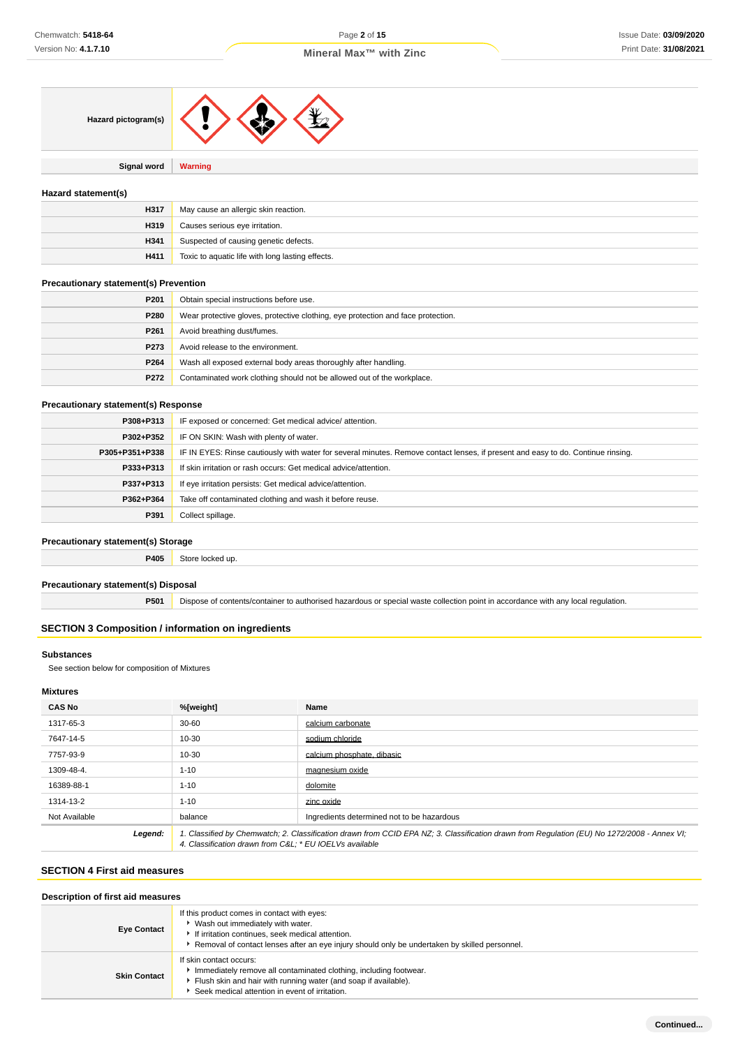| Hazard pictogram(s) |  |  |  |
|---------------------|--|--|--|
|---------------------|--|--|--|

**Signal word Warning**

### **Hazard statement(s)**

| H317 | May cause an allergic skin reaction.             |
|------|--------------------------------------------------|
| H319 | Causes serious eye irritation.                   |
| H341 | Suspected of causing genetic defects.            |
| H411 | Toxic to aquatic life with long lasting effects. |

### **Precautionary statement(s) Prevention**

| P <sub>201</sub> | Obtain special instructions before use.                                          |
|------------------|----------------------------------------------------------------------------------|
| P280             | Wear protective gloves, protective clothing, eye protection and face protection. |
| P <sub>261</sub> | Avoid breathing dust/fumes.                                                      |
| P273             | Avoid release to the environment.                                                |
| P264             | Wash all exposed external body areas thoroughly after handling.                  |
| P272             | Contaminated work clothing should not be allowed out of the workplace.           |

### **Precautionary statement(s) Response**

| IF exposed or concerned: Get medical advice/attention.                                                                           |
|----------------------------------------------------------------------------------------------------------------------------------|
| IF ON SKIN: Wash with plenty of water.                                                                                           |
| IF IN EYES: Rinse cautiously with water for several minutes. Remove contact lenses, if present and easy to do. Continue rinsing. |
| If skin irritation or rash occurs: Get medical advice/attention.                                                                 |
| If eye irritation persists: Get medical advice/attention.                                                                        |
| Take off contaminated clothing and wash it before reuse.                                                                         |
| Collect spillage.                                                                                                                |
|                                                                                                                                  |

## **Precautionary statement(s) Storage**

**P405** Store locked up.

### **Precautionary statement(s) Disposal**

**P501** Dispose of contents/container to authorised hazardous or special waste collection point in accordance with any local regulation.

# **SECTION 3 Composition / information on ingredients**

# **Substances**

See section below for composition of Mixtures

### **Mixtures**

| <b>CAS No</b> | %[weight]                                                                                                                                                                                             | Name                                       |
|---------------|-------------------------------------------------------------------------------------------------------------------------------------------------------------------------------------------------------|--------------------------------------------|
| 1317-65-3     | $30 - 60$                                                                                                                                                                                             | calcium carbonate                          |
| 7647-14-5     | 10-30                                                                                                                                                                                                 | sodium chloride                            |
| 7757-93-9     | 10-30                                                                                                                                                                                                 | calcium phosphate, dibasic                 |
| 1309-48-4.    | $1 - 10$                                                                                                                                                                                              | magnesium oxide                            |
| 16389-88-1    | $1 - 10$                                                                                                                                                                                              | dolomite                                   |
| 1314-13-2     | $1 - 10$                                                                                                                                                                                              | zinc oxide                                 |
| Not Available | balance                                                                                                                                                                                               | Ingredients determined not to be hazardous |
| Legend:       | 1. Classified by Chemwatch; 2. Classification drawn from CCID EPA NZ; 3. Classification drawn from Requlation (EU) No 1272/2008 - Annex VI;<br>4. Classification drawn from C&L * EU IOELVs available |                                            |

# **SECTION 4 First aid measures**

## **Description of first aid measures**

| <b>Eye Contact</b>  | If this product comes in contact with eyes:<br>Wash out immediately with water.<br>If irritation continues, seek medical attention.<br>Removal of contact lenses after an eye injury should only be undertaken by skilled personnel. |
|---------------------|--------------------------------------------------------------------------------------------------------------------------------------------------------------------------------------------------------------------------------------|
| <b>Skin Contact</b> | If skin contact occurs:<br>Immediately remove all contaminated clothing, including footwear.<br>Flush skin and hair with running water (and soap if available).<br>Seek medical attention in event of irritation.                    |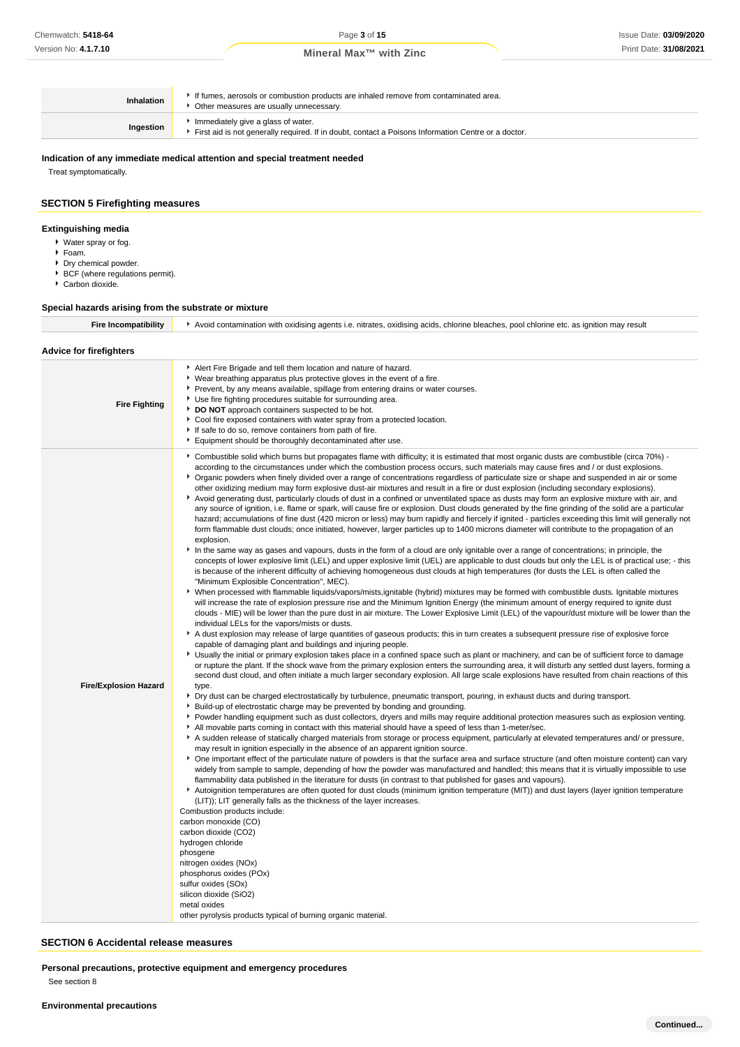| <b>Inhalation</b> | If fumes, aerosols or combustion products are inhaled remove from contaminated area.<br>Other measures are usually unnecessary.           |
|-------------------|-------------------------------------------------------------------------------------------------------------------------------------------|
| Ingestion         | Immediately give a glass of water.<br>First aid is not generally required. If in doubt, contact a Poisons Information Centre or a doctor. |

#### **Indication of any immediate medical attention and special treatment needed**

Treat symptomatically.

### **SECTION 5 Firefighting measures**

#### **Extinguishing media**

- Water spray or fog.
- Foam.
- Dry chemical powder.
- BCF (where regulations permit).
- Carbon dioxide.

### **Special hazards arising from the substrate or mixture**

Fire Incompatibility **A** Avoid contamination with oxidising agents i.e. nitrates, oxidising acids, chlorine bleaches, pool chlorine etc. as ignition may result **Advice for firefighters Fire Fighting** Alert Fire Brigade and tell them location and nature of hazard. Wear breathing apparatus plus protective gloves in the event of a fire. Prevent, by any means available, spillage from entering drains or water courses. Use fire fighting procedures suitable for surrounding area. **DO NOT** approach containers suspected to be hot. ▶ Cool fire exposed containers with water spray from a protected location. If safe to do so, remove containers from path of fire. Equipment should be thoroughly decontaminated after use. **Fire/Explosion Hazard** Combustible solid which burns but propagates flame with difficulty; it is estimated that most organic dusts are combustible (circa 70%) according to the circumstances under which the combustion process occurs, such materials may cause fires and / or dust explosions. Organic powders when finely divided over a range of concentrations regardless of particulate size or shape and suspended in air or some other oxidizing medium may form explosive dust-air mixtures and result in a fire or dust explosion (including secondary explosions). Avoid generating dust, particularly clouds of dust in a confined or unventilated space as dusts may form an explosive mixture with air, and any source of ignition, i.e. flame or spark, will cause fire or explosion. Dust clouds generated by the fine grinding of the solid are a particular hazard; accumulations of fine dust (420 micron or less) may burn rapidly and fiercely if ignited - particles exceeding this limit will generally not form flammable dust clouds; once initiated, however, larger particles up to 1400 microns diameter will contribute to the propagation of an explosion. In the same way as gases and vapours, dusts in the form of a cloud are only ignitable over a range of concentrations; in principle, the concepts of lower explosive limit (LEL) and upper explosive limit (UEL) are applicable to dust clouds but only the LEL is of practical use; - this is because of the inherent difficulty of achieving homogeneous dust clouds at high temperatures (for dusts the LEL is often called the "Minimum Explosible Concentration", MEC). When processed with flammable liquids/vapors/mists,ignitable (hybrid) mixtures may be formed with combustible dusts. Ignitable mixtures will increase the rate of explosion pressure rise and the Minimum Ignition Energy (the minimum amount of energy required to ignite dust clouds - MIE) will be lower than the pure dust in air mixture. The Lower Explosive Limit (LEL) of the vapour/dust mixture will be lower than the individual LELs for the vapors/mists or dusts. A dust explosion may release of large quantities of gaseous products; this in turn creates a subsequent pressure rise of explosive force capable of damaging plant and buildings and injuring people. Usually the initial or primary explosion takes place in a confined space such as plant or machinery, and can be of sufficient force to damage or rupture the plant. If the shock wave from the primary explosion enters the surrounding area, it will disturb any settled dust layers, forming a second dust cloud, and often initiate a much larger secondary explosion. All large scale explosions have resulted from chain reactions of this type. Dry dust can be charged electrostatically by turbulence, pneumatic transport, pouring, in exhaust ducts and during transport. Build-up of electrostatic charge may be prevented by bonding and grounding. Powder handling equipment such as dust collectors, dryers and mills may require additional protection measures such as explosion venting. All movable parts coming in contact with this material should have a speed of less than 1-meter/sec. A sudden release of statically charged materials from storage or process equipment, particularly at elevated temperatures and/ or pressure, may result in ignition especially in the absence of an apparent ignition source. One important effect of the particulate nature of powders is that the surface area and surface structure (and often moisture content) can vary widely from sample to sample, depending of how the powder was manufactured and handled; this means that it is virtually impossible to use flammability data published in the literature for dusts (in contrast to that published for gases and vapours). Autoignition temperatures are often quoted for dust clouds (minimum ignition temperature (MIT)) and dust layers (layer ignition temperature (LIT)); LIT generally falls as the thickness of the layer increases. Combustion products include: carbon monoxide (CO) carbon dioxide (CO2) hydrogen chloride phosgene nitrogen oxides (NOx) phosphorus oxides (POx) sulfur oxides (SOx) silicon dioxide (SiO2) metal oxides other pyrolysis products typical of burning organic material.

#### **SECTION 6 Accidental release measures**

**Personal precautions, protective equipment and emergency procedures** See section 8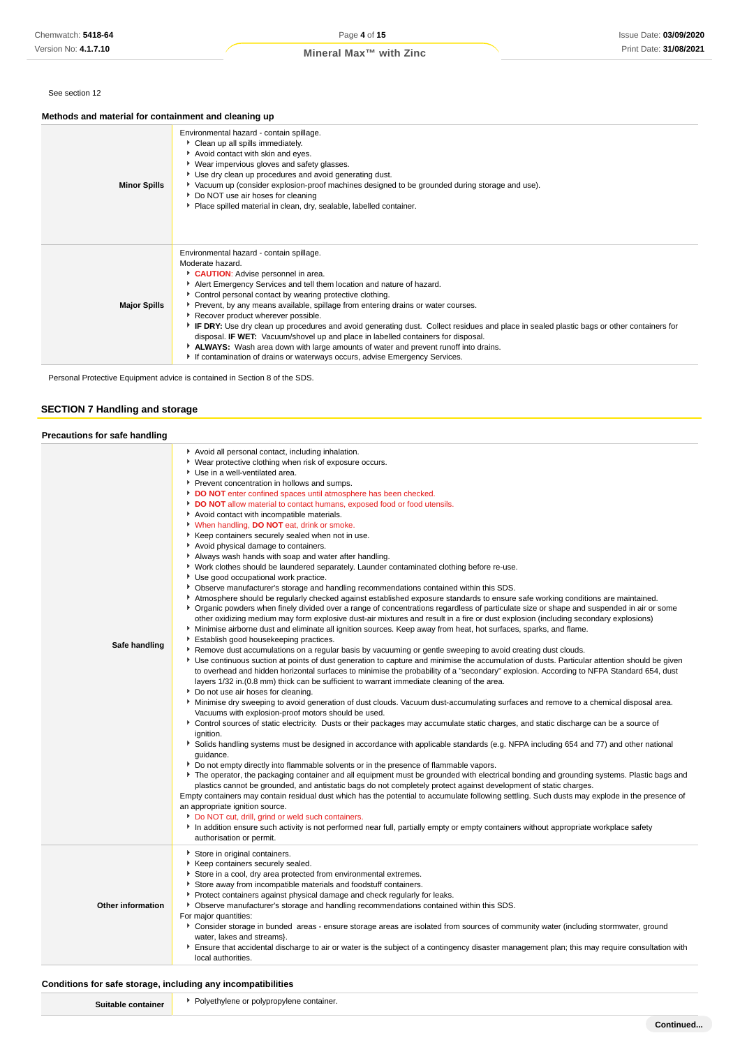### See section 12

# **Methods and material for containment and cleaning up**

| <b>Minor Spills</b> | Environmental hazard - contain spillage.<br>Clean up all spills immediately.<br>Avoid contact with skin and eyes.<br>▶ Wear impervious gloves and safety glasses.<br>Use dry clean up procedures and avoid generating dust.<br>▶ Vacuum up (consider explosion-proof machines designed to be grounded during storage and use).<br>Do NOT use air hoses for cleaning<br>Place spilled material in clean, dry, sealable, labelled container.                                                                                                                                                                                                                                                                                                                                          |
|---------------------|-------------------------------------------------------------------------------------------------------------------------------------------------------------------------------------------------------------------------------------------------------------------------------------------------------------------------------------------------------------------------------------------------------------------------------------------------------------------------------------------------------------------------------------------------------------------------------------------------------------------------------------------------------------------------------------------------------------------------------------------------------------------------------------|
| <b>Major Spills</b> | Environmental hazard - contain spillage.<br>Moderate hazard.<br>CAUTION: Advise personnel in area.<br>Alert Emergency Services and tell them location and nature of hazard.<br>• Control personal contact by wearing protective clothing.<br>▶ Prevent, by any means available, spillage from entering drains or water courses.<br>Recover product wherever possible.<br>F IF DRY: Use dry clean up procedures and avoid generating dust. Collect residues and place in sealed plastic bags or other containers for<br>disposal. <b>IF WET:</b> Vacuum/shovel up and place in labelled containers for disposal.<br>ALWAYS: Wash area down with large amounts of water and prevent runoff into drains.<br>If contamination of drains or waterways occurs, advise Emergency Services. |

Personal Protective Equipment advice is contained in Section 8 of the SDS.

# **SECTION 7 Handling and storage**

| <b>Precautions for safe handling</b> |                                                                                                                                                                                                                                                                                                                                                                                                                                                                                                                                                                                                                                                                                                                                                                                                                                                                                                                                                                                                                                                                                                                                                                                                                                                                                                                                                                                                                                                                                                                                                                                                                                                                                                                                                                                                                                                                                                                                                                                                                                                                                                                                                                                                                                                                                                                                                                                                                                                                                                                                                                                                                                                                                                                                                                                                                                                                                                                                                                                                                                                                                                                                                                                                                                                                   |
|--------------------------------------|-------------------------------------------------------------------------------------------------------------------------------------------------------------------------------------------------------------------------------------------------------------------------------------------------------------------------------------------------------------------------------------------------------------------------------------------------------------------------------------------------------------------------------------------------------------------------------------------------------------------------------------------------------------------------------------------------------------------------------------------------------------------------------------------------------------------------------------------------------------------------------------------------------------------------------------------------------------------------------------------------------------------------------------------------------------------------------------------------------------------------------------------------------------------------------------------------------------------------------------------------------------------------------------------------------------------------------------------------------------------------------------------------------------------------------------------------------------------------------------------------------------------------------------------------------------------------------------------------------------------------------------------------------------------------------------------------------------------------------------------------------------------------------------------------------------------------------------------------------------------------------------------------------------------------------------------------------------------------------------------------------------------------------------------------------------------------------------------------------------------------------------------------------------------------------------------------------------------------------------------------------------------------------------------------------------------------------------------------------------------------------------------------------------------------------------------------------------------------------------------------------------------------------------------------------------------------------------------------------------------------------------------------------------------------------------------------------------------------------------------------------------------------------------------------------------------------------------------------------------------------------------------------------------------------------------------------------------------------------------------------------------------------------------------------------------------------------------------------------------------------------------------------------------------------------------------------------------------------------------------------------------------|
| Safe handling                        | Avoid all personal contact, including inhalation.<br>▶ Wear protective clothing when risk of exposure occurs.<br>Use in a well-ventilated area.<br>Prevent concentration in hollows and sumps.<br>DO NOT enter confined spaces until atmosphere has been checked.<br>DO NOT allow material to contact humans, exposed food or food utensils.<br>Avoid contact with incompatible materials.<br>V When handling, DO NOT eat, drink or smoke.<br>Keep containers securely sealed when not in use.<br>Avoid physical damage to containers.<br>Always wash hands with soap and water after handling.<br>▶ Work clothes should be laundered separately. Launder contaminated clothing before re-use.<br>Use good occupational work practice.<br>• Observe manufacturer's storage and handling recommendations contained within this SDS.<br>Atmosphere should be regularly checked against established exposure standards to ensure safe working conditions are maintained.<br>▶ Organic powders when finely divided over a range of concentrations regardless of particulate size or shape and suspended in air or some<br>other oxidizing medium may form explosive dust-air mixtures and result in a fire or dust explosion (including secondary explosions)<br>Minimise airborne dust and eliminate all ignition sources. Keep away from heat, hot surfaces, sparks, and flame.<br>Establish good housekeeping practices.<br>▶ Remove dust accumulations on a regular basis by vacuuming or gentle sweeping to avoid creating dust clouds.<br>▶ Use continuous suction at points of dust generation to capture and minimise the accumulation of dusts. Particular attention should be given<br>to overhead and hidden horizontal surfaces to minimise the probability of a "secondary" explosion. According to NFPA Standard 654, dust<br>layers 1/32 in. (0.8 mm) thick can be sufficient to warrant immediate cleaning of the area.<br>Do not use air hoses for cleaning.<br>• Minimise dry sweeping to avoid generation of dust clouds. Vacuum dust-accumulating surfaces and remove to a chemical disposal area.<br>Vacuums with explosion-proof motors should be used.<br>▶ Control sources of static electricity. Dusts or their packages may accumulate static charges, and static discharge can be a source of<br>ignition.<br>Solids handling systems must be designed in accordance with applicable standards (e.g. NFPA including 654 and 77) and other national<br>quidance.<br>▶ Do not empty directly into flammable solvents or in the presence of flammable vapors.<br>The operator, the packaging container and all equipment must be grounded with electrical bonding and grounding systems. Plastic bags and<br>plastics cannot be grounded, and antistatic bags do not completely protect against development of static charges.<br>Empty containers may contain residual dust which has the potential to accumulate following settling. Such dusts may explode in the presence of<br>an appropriate ignition source.<br>Do NOT cut, drill, grind or weld such containers.<br>In addition ensure such activity is not performed near full, partially empty or empty containers without appropriate workplace safety<br>authorisation or permit. |
| Other information                    | Store in original containers.<br>Keep containers securely sealed.<br>Store in a cool, dry area protected from environmental extremes.<br>Store away from incompatible materials and foodstuff containers.<br>Protect containers against physical damage and check regularly for leaks.<br>▶ Observe manufacturer's storage and handling recommendations contained within this SDS.<br>For major quantities:<br>Consider storage in bunded areas - ensure storage areas are isolated from sources of community water (including stormwater, ground<br>water, lakes and streams}.<br>Ensure that accidental discharge to air or water is the subject of a contingency disaster management plan; this may require consultation with<br>local authorities.                                                                                                                                                                                                                                                                                                                                                                                                                                                                                                                                                                                                                                                                                                                                                                                                                                                                                                                                                                                                                                                                                                                                                                                                                                                                                                                                                                                                                                                                                                                                                                                                                                                                                                                                                                                                                                                                                                                                                                                                                                                                                                                                                                                                                                                                                                                                                                                                                                                                                                            |

### **Conditions for safe storage, including any incompatibilities**

| Suitable containe |  |
|-------------------|--|
|                   |  |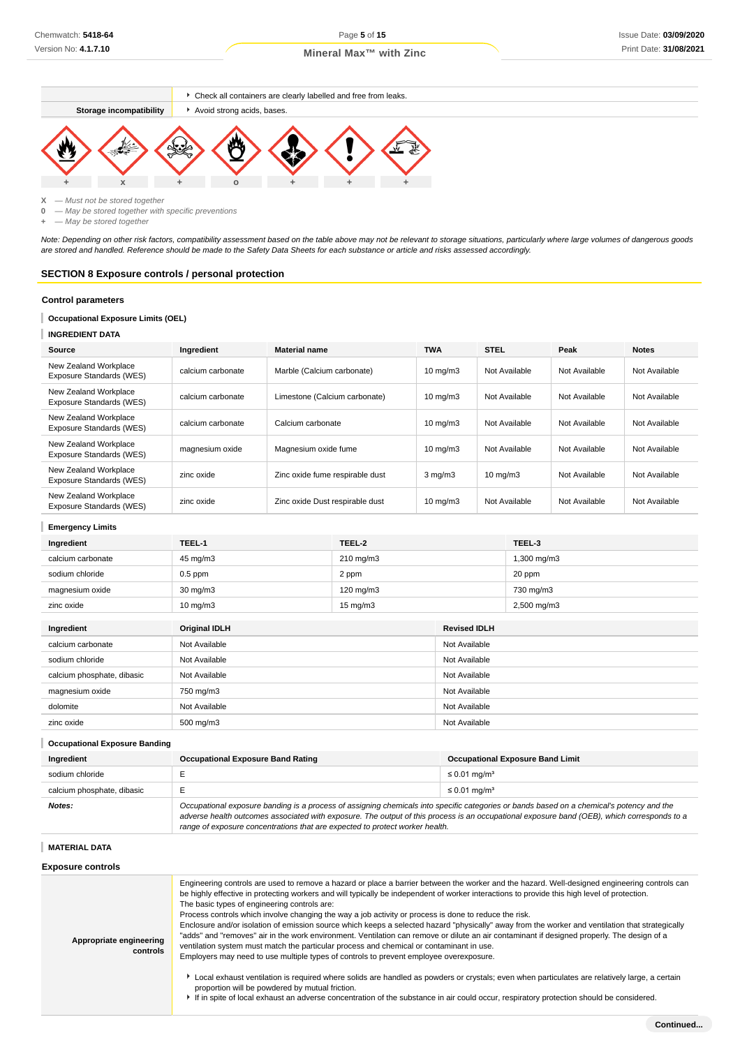





**X** — Must not be stored together

**0** — May be stored together with specific preventions

**+** — May be stored together

Note: Depending on other risk factors, compatibility assessment based on the table above may not be relevant to storage situations, particularly where large volumes of dangerous goods are stored and handled. Reference should be made to the Safety Data Sheets for each substance or article and risks assessed accordingly.

# **SECTION 8 Exposure controls / personal protection**

#### **Control parameters**

# **Occupational Exposure Limits (OEL)**

### **INGREDIENT DATA**

| Source                                            | Ingredient        | <b>Material name</b>            | <b>TWA</b>        | <b>STEL</b>       | Peak          | <b>Notes</b>  |
|---------------------------------------------------|-------------------|---------------------------------|-------------------|-------------------|---------------|---------------|
| New Zealand Workplace<br>Exposure Standards (WES) | calcium carbonate | Marble (Calcium carbonate)      | $10 \text{ mg/m}$ | Not Available     | Not Available | Not Available |
| New Zealand Workplace<br>Exposure Standards (WES) | calcium carbonate | Limestone (Calcium carbonate)   | $10 \text{ mg/m}$ | Not Available     | Not Available | Not Available |
| New Zealand Workplace<br>Exposure Standards (WES) | calcium carbonate | Calcium carbonate               | $10 \text{ mg/m}$ | Not Available     | Not Available | Not Available |
| New Zealand Workplace<br>Exposure Standards (WES) | magnesium oxide   | Magnesium oxide fume            | $10 \text{ mg/m}$ | Not Available     | Not Available | Not Available |
| New Zealand Workplace<br>Exposure Standards (WES) | zinc oxide        | Zinc oxide fume respirable dust | $3 \text{ mg/m}$  | $10 \text{ mg/m}$ | Not Available | Not Available |
| New Zealand Workplace<br>Exposure Standards (WES) | zinc oxide        | Zinc oxide Dust respirable dust | $10 \text{ mg/m}$ | Not Available     | Not Available | Not Available |

#### **Emergency Limits**

| Ingredient                 | TEEL-1               | TEEL-2            |                     | TEEL-3      |
|----------------------------|----------------------|-------------------|---------------------|-------------|
| calcium carbonate          | 45 mg/m3             | 210 mg/m3         |                     | 1,300 mg/m3 |
| sodium chloride            | $0.5$ ppm            | 2 ppm             |                     | 20 ppm      |
| magnesium oxide            | 30 mg/m3             | 120 mg/m3         |                     | 730 mg/m3   |
| zinc oxide                 | $10 \text{ mg/m}$ 3  | $15 \text{ mg/m}$ |                     | 2,500 mg/m3 |
|                            |                      |                   |                     |             |
| Ingredient                 | <b>Original IDLH</b> |                   | <b>Revised IDLH</b> |             |
| calcium carbonate          | Not Available        |                   | Not Available       |             |
| sodium chloride            | Not Available        |                   | Not Available       |             |
| calcium phosphate, dibasic | Not Available        |                   | Not Available       |             |
| magnesium oxide            | 750 mg/m3            |                   | Not Available       |             |
| dolomite                   | Not Available        |                   | Not Available       |             |
| zinc oxide                 | 500 mg/m3            |                   | Not Available       |             |

#### **Occupational Exposure Banding**

| Ingredient                 | <b>Occupational Exposure Band Rating</b>                                                                                                                                                                                                                                                 | <b>Occupational Exposure Band Limit</b> |  |
|----------------------------|------------------------------------------------------------------------------------------------------------------------------------------------------------------------------------------------------------------------------------------------------------------------------------------|-----------------------------------------|--|
| sodium chloride            |                                                                                                                                                                                                                                                                                          | ≤ 0.01 mg/m <sup>3</sup>                |  |
| calcium phosphate, dibasic |                                                                                                                                                                                                                                                                                          | ≤ 0.01 ma/m <sup>3</sup>                |  |
| Notes:                     | Occupational exposure banding is a process of assigning chemicals into specific categories or bands based on a chemical's potency and the<br>adverse health outcomes associated with exposure. The output of this process is an occupational exposure band (OEB), which corresponds to a |                                         |  |

range of exposure concentrations that are expected to protect worker health.

**MATERIAL DATA**

#### **Exposure controls**

| Appropriate engineering<br>controls | Engineering controls are used to remove a hazard or place a barrier between the worker and the hazard. Well-designed engineering controls can<br>be highly effective in protecting workers and will typically be independent of worker interactions to provide this high level of protection.<br>The basic types of engineering controls are:<br>Process controls which involve changing the way a job activity or process is done to reduce the risk.<br>Enclosure and/or isolation of emission source which keeps a selected hazard "physically" away from the worker and ventilation that strategically<br>"adds" and "removes" air in the work environment. Ventilation can remove or dilute an air contaminant if designed properly. The design of a<br>ventilation system must match the particular process and chemical or contaminant in use.<br>Employers may need to use multiple types of controls to prevent employee overexposure.<br>► Local exhaust ventilation is required where solids are handled as powders or crystals; even when particulates are relatively large, a certain<br>proportion will be powdered by mutual friction.<br>If in spite of local exhaust an adverse concentration of the substance in air could occur, respiratory protection should be considered. |
|-------------------------------------|--------------------------------------------------------------------------------------------------------------------------------------------------------------------------------------------------------------------------------------------------------------------------------------------------------------------------------------------------------------------------------------------------------------------------------------------------------------------------------------------------------------------------------------------------------------------------------------------------------------------------------------------------------------------------------------------------------------------------------------------------------------------------------------------------------------------------------------------------------------------------------------------------------------------------------------------------------------------------------------------------------------------------------------------------------------------------------------------------------------------------------------------------------------------------------------------------------------------------------------------------------------------------------------------------|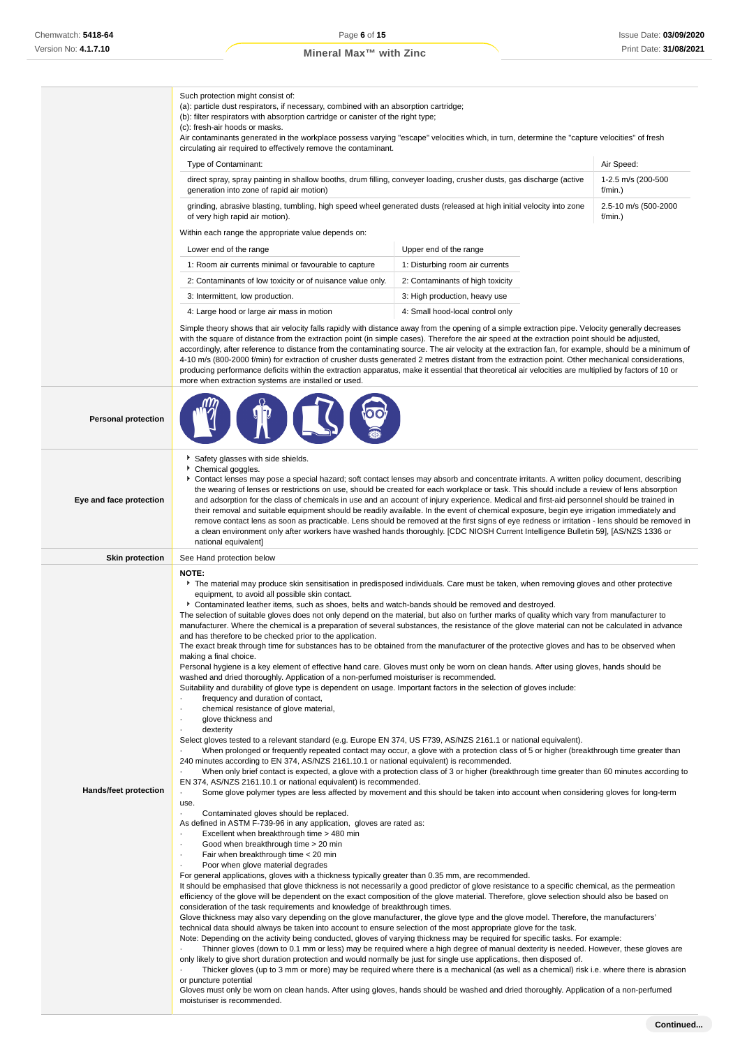(a): particle dust respirators, if necessary, combined with an absorption cartridge; (b): filter respirators with absorption cartridge or canister of the right type;

Such protection might consist of:

|                            | (c): fresh-air hoods or masks.<br>Air contaminants generated in the workplace possess varying "escape" velocities which, in turn, determine the "capture velocities" of fresh<br>circulating air required to effectively remove the contaminant.                                                                                                                                                                                                                                                                                                                                                                                                                                                                                                                                                                                                                                                                                                                                                                                                                                                                                                                                                                                                                                                                                                                                                                                                                                |                                                                                                                                                                                                                                                                                                                                                                                                                              |                               |  |  |
|----------------------------|---------------------------------------------------------------------------------------------------------------------------------------------------------------------------------------------------------------------------------------------------------------------------------------------------------------------------------------------------------------------------------------------------------------------------------------------------------------------------------------------------------------------------------------------------------------------------------------------------------------------------------------------------------------------------------------------------------------------------------------------------------------------------------------------------------------------------------------------------------------------------------------------------------------------------------------------------------------------------------------------------------------------------------------------------------------------------------------------------------------------------------------------------------------------------------------------------------------------------------------------------------------------------------------------------------------------------------------------------------------------------------------------------------------------------------------------------------------------------------|------------------------------------------------------------------------------------------------------------------------------------------------------------------------------------------------------------------------------------------------------------------------------------------------------------------------------------------------------------------------------------------------------------------------------|-------------------------------|--|--|
|                            | Type of Contaminant:                                                                                                                                                                                                                                                                                                                                                                                                                                                                                                                                                                                                                                                                                                                                                                                                                                                                                                                                                                                                                                                                                                                                                                                                                                                                                                                                                                                                                                                            |                                                                                                                                                                                                                                                                                                                                                                                                                              | Air Speed:                    |  |  |
|                            | direct spray, spray painting in shallow booths, drum filling, conveyer loading, crusher dusts, gas discharge (active<br>generation into zone of rapid air motion)                                                                                                                                                                                                                                                                                                                                                                                                                                                                                                                                                                                                                                                                                                                                                                                                                                                                                                                                                                                                                                                                                                                                                                                                                                                                                                               |                                                                                                                                                                                                                                                                                                                                                                                                                              | 1-2.5 m/s (200-500<br>f/min.) |  |  |
|                            | grinding, abrasive blasting, tumbling, high speed wheel generated dusts (released at high initial velocity into zone<br>of very high rapid air motion).                                                                                                                                                                                                                                                                                                                                                                                                                                                                                                                                                                                                                                                                                                                                                                                                                                                                                                                                                                                                                                                                                                                                                                                                                                                                                                                         | 2.5-10 m/s (500-2000<br>$f/min.$ )                                                                                                                                                                                                                                                                                                                                                                                           |                               |  |  |
|                            | Within each range the appropriate value depends on:                                                                                                                                                                                                                                                                                                                                                                                                                                                                                                                                                                                                                                                                                                                                                                                                                                                                                                                                                                                                                                                                                                                                                                                                                                                                                                                                                                                                                             |                                                                                                                                                                                                                                                                                                                                                                                                                              |                               |  |  |
|                            | Lower end of the range                                                                                                                                                                                                                                                                                                                                                                                                                                                                                                                                                                                                                                                                                                                                                                                                                                                                                                                                                                                                                                                                                                                                                                                                                                                                                                                                                                                                                                                          |                                                                                                                                                                                                                                                                                                                                                                                                                              |                               |  |  |
|                            | 1: Room air currents minimal or favourable to capture                                                                                                                                                                                                                                                                                                                                                                                                                                                                                                                                                                                                                                                                                                                                                                                                                                                                                                                                                                                                                                                                                                                                                                                                                                                                                                                                                                                                                           | Upper end of the range<br>1: Disturbing room air currents                                                                                                                                                                                                                                                                                                                                                                    |                               |  |  |
|                            | 2: Contaminants of low toxicity or of nuisance value only.                                                                                                                                                                                                                                                                                                                                                                                                                                                                                                                                                                                                                                                                                                                                                                                                                                                                                                                                                                                                                                                                                                                                                                                                                                                                                                                                                                                                                      | 2: Contaminants of high toxicity                                                                                                                                                                                                                                                                                                                                                                                             |                               |  |  |
|                            | 3: Intermittent, low production.                                                                                                                                                                                                                                                                                                                                                                                                                                                                                                                                                                                                                                                                                                                                                                                                                                                                                                                                                                                                                                                                                                                                                                                                                                                                                                                                                                                                                                                | 3: High production, heavy use                                                                                                                                                                                                                                                                                                                                                                                                |                               |  |  |
|                            | 4: Large hood or large air mass in motion<br>4: Small hood-local control only                                                                                                                                                                                                                                                                                                                                                                                                                                                                                                                                                                                                                                                                                                                                                                                                                                                                                                                                                                                                                                                                                                                                                                                                                                                                                                                                                                                                   |                                                                                                                                                                                                                                                                                                                                                                                                                              |                               |  |  |
|                            | Simple theory shows that air velocity falls rapidly with distance away from the opening of a simple extraction pipe. Velocity generally decreases<br>with the square of distance from the extraction point (in simple cases). Therefore the air speed at the extraction point should be adjusted,<br>accordingly, after reference to distance from the contaminating source. The air velocity at the extraction fan, for example, should be a minimum of<br>4-10 m/s (800-2000 f/min) for extraction of crusher dusts generated 2 metres distant from the extraction point. Other mechanical considerations,<br>producing performance deficits within the extraction apparatus, make it essential that theoretical air velocities are multiplied by factors of 10 or<br>more when extraction systems are installed or used.                                                                                                                                                                                                                                                                                                                                                                                                                                                                                                                                                                                                                                                     |                                                                                                                                                                                                                                                                                                                                                                                                                              |                               |  |  |
| <b>Personal protection</b> |                                                                                                                                                                                                                                                                                                                                                                                                                                                                                                                                                                                                                                                                                                                                                                                                                                                                                                                                                                                                                                                                                                                                                                                                                                                                                                                                                                                                                                                                                 |                                                                                                                                                                                                                                                                                                                                                                                                                              |                               |  |  |
| Eye and face protection    | Safety glasses with side shields.<br>Chemical goggles.<br>Contact lenses may pose a special hazard; soft contact lenses may absorb and concentrate irritants. A written policy document, describing<br>the wearing of lenses or restrictions on use, should be created for each workplace or task. This should include a review of lens absorption<br>and adsorption for the class of chemicals in use and an account of injury experience. Medical and first-aid personnel should be trained in<br>their removal and suitable equipment should be readily available. In the event of chemical exposure, begin eye irrigation immediately and<br>remove contact lens as soon as practicable. Lens should be removed at the first signs of eye redness or irritation - lens should be removed in<br>a clean environment only after workers have washed hands thoroughly. [CDC NIOSH Current Intelligence Bulletin 59], [AS/NZS 1336 or<br>national equivalent]                                                                                                                                                                                                                                                                                                                                                                                                                                                                                                                   |                                                                                                                                                                                                                                                                                                                                                                                                                              |                               |  |  |
| <b>Skin protection</b>     | See Hand protection below                                                                                                                                                                                                                                                                                                                                                                                                                                                                                                                                                                                                                                                                                                                                                                                                                                                                                                                                                                                                                                                                                                                                                                                                                                                                                                                                                                                                                                                       |                                                                                                                                                                                                                                                                                                                                                                                                                              |                               |  |  |
| Hands/feet protection      | equipment, to avoid all possible skin contact.<br>▶ Contaminated leather items, such as shoes, belts and watch-bands should be removed and destroyed.<br>The selection of suitable gloves does not only depend on the material, but also on further marks of quality which vary from manufacturer to<br>manufacturer. Where the chemical is a preparation of several substances, the resistance of the glove material can not be calculated in advance<br>and has therefore to be checked prior to the application.<br>The exact break through time for substances has to be obtained from the manufacturer of the protective gloves and has to be observed when<br>making a final choice.<br>Personal hygiene is a key element of effective hand care. Gloves must only be worn on clean hands. After using gloves, hands should be<br>washed and dried thoroughly. Application of a non-perfumed moisturiser is recommended.<br>Suitability and durability of glove type is dependent on usage. Important factors in the selection of gloves include:<br>frequency and duration of contact,<br>chemical resistance of glove material,<br>glove thickness and<br>dexterity<br>Select gloves tested to a relevant standard (e.g. Europe EN 374, US F739, AS/NZS 2161.1 or national equivalent).<br>240 minutes according to EN 374, AS/NZS 2161.10.1 or national equivalent) is recommended.<br>EN 374, AS/NZS 2161.10.1 or national equivalent) is recommended.                | When prolonged or frequently repeated contact may occur, a glove with a protection class of 5 or higher (breakthrough time greater than<br>When only brief contact is expected, a glove with a protection class of 3 or higher (breakthrough time greater than 60 minutes according to<br>Some glove polymer types are less affected by movement and this should be taken into account when considering gloves for long-term |                               |  |  |
|                            | use.<br>Contaminated gloves should be replaced.<br>As defined in ASTM F-739-96 in any application, gloves are rated as:<br>Excellent when breakthrough time > 480 min<br>Good when breakthrough time > 20 min<br>Fair when breakthrough time < 20 min<br>Poor when glove material degrades<br>For general applications, gloves with a thickness typically greater than 0.35 mm, are recommended.<br>It should be emphasised that glove thickness is not necessarily a good predictor of glove resistance to a specific chemical, as the permeation<br>efficiency of the glove will be dependent on the exact composition of the glove material. Therefore, glove selection should also be based on<br>consideration of the task requirements and knowledge of breakthrough times.<br>Glove thickness may also vary depending on the glove manufacturer, the glove type and the glove model. Therefore, the manufacturers'<br>technical data should always be taken into account to ensure selection of the most appropriate glove for the task.<br>Note: Depending on the activity being conducted, gloves of varying thickness may be required for specific tasks. For example:<br>only likely to give short duration protection and would normally be just for single use applications, then disposed of.<br>or puncture potential<br>Gloves must only be worn on clean hands. After using gloves, hands should be washed and dried thoroughly. Application of a non-perfumed | Thinner gloves (down to 0.1 mm or less) may be required where a high degree of manual dexterity is needed. However, these gloves are<br>Thicker gloves (up to 3 mm or more) may be required where there is a mechanical (as well as a chemical) risk i.e. where there is abrasion                                                                                                                                            |                               |  |  |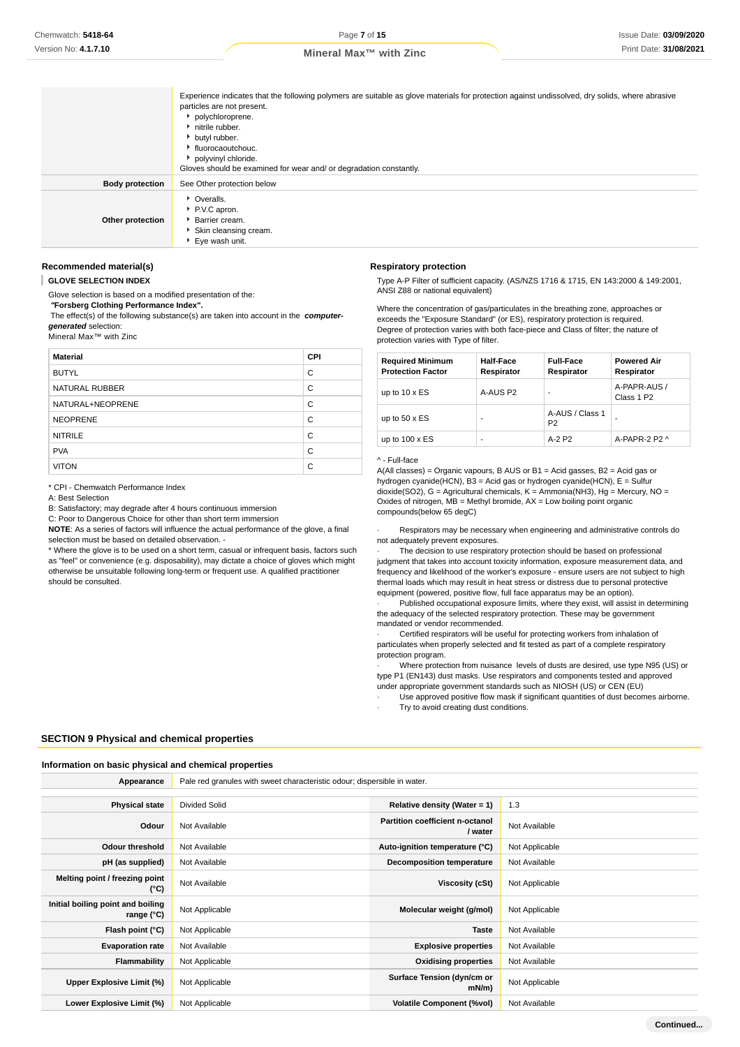|                        | Experience indicates that the following polymers are suitable as glove materials for protection against undissolved, dry solids, where abrasive<br>particles are not present.<br>polychloroprene.<br>initrile rubber.<br>butyl rubber.<br>fluorocaoutchouc.<br>polyvinyl chloride.<br>Gloves should be examined for wear and/ or degradation constantly. |
|------------------------|----------------------------------------------------------------------------------------------------------------------------------------------------------------------------------------------------------------------------------------------------------------------------------------------------------------------------------------------------------|
| <b>Body protection</b> | See Other protection below                                                                                                                                                                                                                                                                                                                               |
| Other protection       | • Overalls.<br>P.V.C apron.<br><b>Barrier cream.</b><br>Skin cleansing cream.<br>▶ Eye wash unit.                                                                                                                                                                                                                                                        |

#### **Recommended material(s)**

**GLOVE SELECTION INDEX**

Glove selection is based on a modified presentation of the:

 **"Forsberg Clothing Performance Index".**

 The effect(s) of the following substance(s) are taken into account in the **computergenerated** selection:

Mineral Max™ with Zinc

| <b>Material</b>  | <b>CPI</b> |
|------------------|------------|
| <b>BUTYL</b>     | C          |
| NATURAL RUBBER   | C          |
| NATURAL+NEOPRENE | C          |
| <b>NEOPRENE</b>  | C          |
| <b>NITRILE</b>   | C          |
| <b>PVA</b>       | C          |
| <b>VITON</b>     | C          |

\* CPI - Chemwatch Performance Index

A: Best Selection

B: Satisfactory; may degrade after 4 hours continuous immersion

C: Poor to Dangerous Choice for other than short term immersion

**NOTE**: As a series of factors will influence the actual performance of the glove, a final selection must be based on detailed observation. -

\* Where the glove is to be used on a short term, casual or infrequent basis, factors such as "feel" or convenience (e.g. disposability), may dictate a choice of gloves which might otherwise be unsuitable following long-term or frequent use. A qualified practitioner should be consulted.

#### **Respiratory protection**

Type A-P Filter of sufficient capacity. (AS/NZS 1716 & 1715, EN 143:2000 & 149:2001, ANSI Z88 or national equivalent)

Where the concentration of gas/particulates in the breathing zone, approaches or exceeds the "Exposure Standard" (or ES), respiratory protection is required. Degree of protection varies with both face-piece and Class of filter; the nature of protection varies with Type of filter.

| <b>Required Minimum</b><br><b>Protection Factor</b> | <b>Half-Face</b><br>Respirator | <b>Full-Face</b><br>Respirator    | <b>Powered Air</b><br>Respirator       |
|-----------------------------------------------------|--------------------------------|-----------------------------------|----------------------------------------|
| up to $10 \times ES$                                | A-AUS P2                       |                                   | A-PAPR-AUS /<br>Class 1 P <sub>2</sub> |
| up to $50 \times ES$                                | ۰                              | A-AUS / Class 1<br>P <sub>2</sub> | ۰                                      |
| up to $100 \times ES$                               | ۰                              | A-2 P2                            | A-PAPR-2 P2 ^                          |

#### ^ - Full-face

A(All classes) = Organic vapours, B AUS or B1 = Acid gasses, B2 = Acid gas or hydrogen cyanide(HCN), B3 = Acid gas or hydrogen cyanide(HCN), E = Sulfur dioxide(SO2), G = Agricultural chemicals, K = Ammonia(NH3), Hg = Mercury, NO = Oxides of nitrogen,  $MB =$  Methyl bromide,  $AX =$  Low boiling point organic compounds(below 65 degC)

Respirators may be necessary when engineering and administrative controls do not adequately prevent exposures.

The decision to use respiratory protection should be based on professional judgment that takes into account toxicity information, exposure measurement data, and frequency and likelihood of the worker's exposure - ensure users are not subject to high thermal loads which may result in heat stress or distress due to personal protective equipment (powered, positive flow, full face apparatus may be an option).

Published occupational exposure limits, where they exist, will assist in determining the adequacy of the selected respiratory protection. These may be government mandated or vendor recommended.

Certified respirators will be useful for protecting workers from inhalation of particulates when properly selected and fit tested as part of a complete respiratory protection program.

Where protection from nuisance levels of dusts are desired, use type N95 (US) or type P1 (EN143) dust masks. Use respirators and components tested and approved under appropriate government standards such as NIOSH (US) or CEN (EU)

Use approved positive flow mask if significant quantities of dust becomes airborne. Try to avoid creating dust conditions.

### **SECTION 9 Physical and chemical properties**

#### **Information on basic physical and chemical properties**

**Appearance** Pale red granules with sweet characteristic odour; dispersible in water.

| <b>Physical state</b>                           | <b>Divided Solid</b> | Relative density (Water = $1$ )            | 1.3            |
|-------------------------------------------------|----------------------|--------------------------------------------|----------------|
| Odour                                           | Not Available        | Partition coefficient n-octanol<br>/ water | Not Available  |
| <b>Odour threshold</b>                          | Not Available        | Auto-ignition temperature (°C)             | Not Applicable |
| pH (as supplied)                                | Not Available        | <b>Decomposition temperature</b>           | Not Available  |
| Melting point / freezing point<br>(°C)          | Not Available        | Viscosity (cSt)                            | Not Applicable |
| Initial boiling point and boiling<br>range (°C) | Not Applicable       | Molecular weight (g/mol)                   | Not Applicable |
| Flash point (°C)                                | Not Applicable       | <b>Taste</b>                               | Not Available  |
| <b>Evaporation rate</b>                         | Not Available        | <b>Explosive properties</b>                | Not Available  |
| Flammability                                    | Not Applicable       | <b>Oxidising properties</b>                | Not Available  |
| Upper Explosive Limit (%)                       | Not Applicable       | Surface Tension (dyn/cm or<br>$mN/m$ )     | Not Applicable |
| Lower Explosive Limit (%)                       | Not Applicable       | <b>Volatile Component (%vol)</b>           | Not Available  |

**Continued...**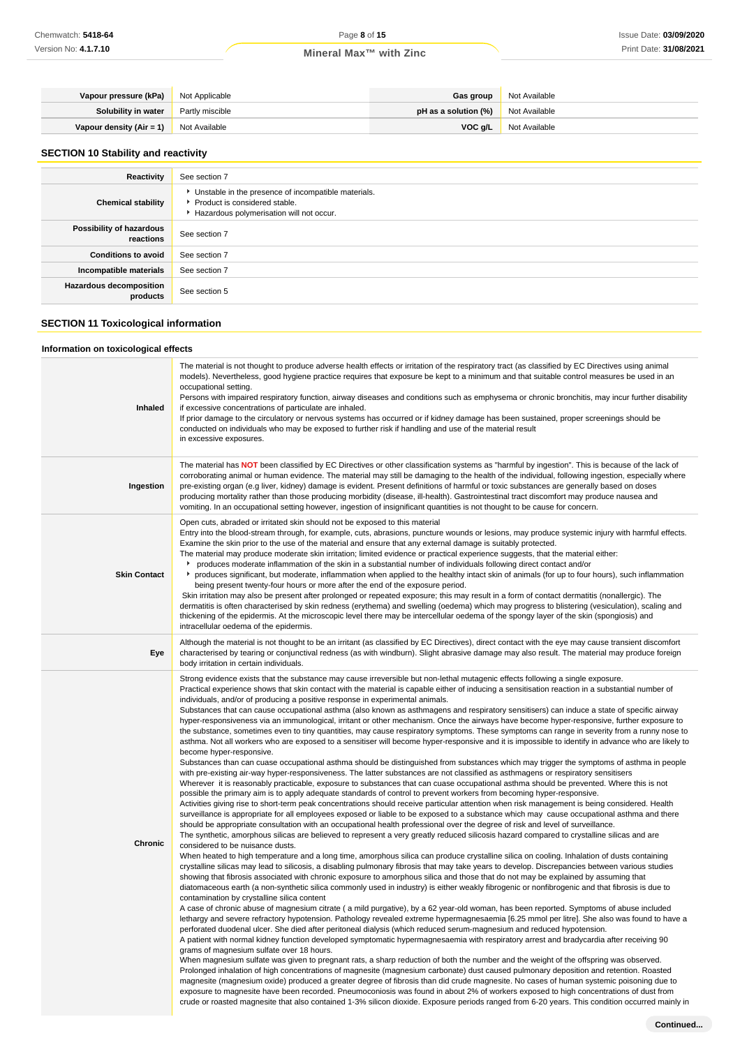| Vapour pressure (kPa) Not Applicable          |                        | Gas group                                    | Not Available |
|-----------------------------------------------|------------------------|----------------------------------------------|---------------|
| Solubility in water                           | <b>Partly miscible</b> | <b>pH</b> as a solution $(\%)$ Not Available |               |
| <b>Vapour density (Air = 1)</b> Not Available |                        | VOC a/L                                      | Not Available |

# **SECTION 10 Stability and reactivity**

| Reactivity                                 | See section 7                                                                                                                        |
|--------------------------------------------|--------------------------------------------------------------------------------------------------------------------------------------|
| <b>Chemical stability</b>                  | • Unstable in the presence of incompatible materials.<br>▶ Product is considered stable.<br>Hazardous polymerisation will not occur. |
| Possibility of hazardous<br>reactions      | See section 7                                                                                                                        |
| <b>Conditions to avoid</b>                 | See section 7                                                                                                                        |
| Incompatible materials                     | See section 7                                                                                                                        |
| <b>Hazardous decomposition</b><br>products | See section 5                                                                                                                        |

# **SECTION 11 Toxicological information**

# **Information on toxicological effects**

| Inhaled             | The material is not thought to produce adverse health effects or irritation of the respiratory tract (as classified by EC Directives using animal<br>models). Nevertheless, good hygiene practice requires that exposure be kept to a minimum and that suitable control measures be used in an<br>occupational setting.<br>Persons with impaired respiratory function, airway diseases and conditions such as emphysema or chronic bronchitis, may incur further disability<br>if excessive concentrations of particulate are inhaled.<br>If prior damage to the circulatory or nervous systems has occurred or if kidney damage has been sustained, proper screenings should be<br>conducted on individuals who may be exposed to further risk if handling and use of the material result<br>in excessive exposures.                                                                                                                                                                                                                                                                                                                                                                                                                                                                                                                                                                                                                                                                                                                                                                                                                                                                                                                                                                                                                                                                                                                                                                                                                                                                                                                                                                                                                                                                                                                                                                                                                                                                                                                                                                                                                                                                                                                                                                                                                                                                                                                                                                                                                                                                                                                                                                                                                                                                                                                                                                                                                                                                                                                                                                                                                                                                                                                                                                                                                                                                                                                                                                                                                                                                                                                                              |
|---------------------|--------------------------------------------------------------------------------------------------------------------------------------------------------------------------------------------------------------------------------------------------------------------------------------------------------------------------------------------------------------------------------------------------------------------------------------------------------------------------------------------------------------------------------------------------------------------------------------------------------------------------------------------------------------------------------------------------------------------------------------------------------------------------------------------------------------------------------------------------------------------------------------------------------------------------------------------------------------------------------------------------------------------------------------------------------------------------------------------------------------------------------------------------------------------------------------------------------------------------------------------------------------------------------------------------------------------------------------------------------------------------------------------------------------------------------------------------------------------------------------------------------------------------------------------------------------------------------------------------------------------------------------------------------------------------------------------------------------------------------------------------------------------------------------------------------------------------------------------------------------------------------------------------------------------------------------------------------------------------------------------------------------------------------------------------------------------------------------------------------------------------------------------------------------------------------------------------------------------------------------------------------------------------------------------------------------------------------------------------------------------------------------------------------------------------------------------------------------------------------------------------------------------------------------------------------------------------------------------------------------------------------------------------------------------------------------------------------------------------------------------------------------------------------------------------------------------------------------------------------------------------------------------------------------------------------------------------------------------------------------------------------------------------------------------------------------------------------------------------------------------------------------------------------------------------------------------------------------------------------------------------------------------------------------------------------------------------------------------------------------------------------------------------------------------------------------------------------------------------------------------------------------------------------------------------------------------------------------------------------------------------------------------------------------------------------------------------------------------------------------------------------------------------------------------------------------------------------------------------------------------------------------------------------------------------------------------------------------------------------------------------------------------------------------------------------------------------------------------------------------------------------------------------------------------|
| Ingestion           | The material has NOT been classified by EC Directives or other classification systems as "harmful by ingestion". This is because of the lack of<br>corroborating animal or human evidence. The material may still be damaging to the health of the individual, following ingestion, especially where<br>pre-existing organ (e.g liver, kidney) damage is evident. Present definitions of harmful or toxic substances are generally based on doses<br>producing mortality rather than those producing morbidity (disease, ill-health). Gastrointestinal tract discomfort may produce nausea and<br>vomiting. In an occupational setting however, ingestion of insignificant quantities is not thought to be cause for concern.                                                                                                                                                                                                                                                                                                                                                                                                                                                                                                                                                                                                                                                                                                                                                                                                                                                                                                                                                                                                                                                                                                                                                                                                                                                                                                                                                                                                                                                                                                                                                                                                                                                                                                                                                                                                                                                                                                                                                                                                                                                                                                                                                                                                                                                                                                                                                                                                                                                                                                                                                                                                                                                                                                                                                                                                                                                                                                                                                                                                                                                                                                                                                                                                                                                                                                                                                                                                                                      |
| <b>Skin Contact</b> | Open cuts, abraded or irritated skin should not be exposed to this material<br>Entry into the blood-stream through, for example, cuts, abrasions, puncture wounds or lesions, may produce systemic injury with harmful effects.<br>Examine the skin prior to the use of the material and ensure that any external damage is suitably protected.<br>The material may produce moderate skin irritation; limited evidence or practical experience suggests, that the material either:<br>► produces moderate inflammation of the skin in a substantial number of individuals following direct contact and/or<br>▶ produces significant, but moderate, inflammation when applied to the healthy intact skin of animals (for up to four hours), such inflammation<br>being present twenty-four hours or more after the end of the exposure period.<br>Skin irritation may also be present after prolonged or repeated exposure; this may result in a form of contact dermatitis (nonallergic). The<br>dermatitis is often characterised by skin redness (erythema) and swelling (oedema) which may progress to blistering (vesiculation), scaling and<br>thickening of the epidermis. At the microscopic level there may be intercellular oedema of the spongy layer of the skin (spongiosis) and<br>intracellular oedema of the epidermis.                                                                                                                                                                                                                                                                                                                                                                                                                                                                                                                                                                                                                                                                                                                                                                                                                                                                                                                                                                                                                                                                                                                                                                                                                                                                                                                                                                                                                                                                                                                                                                                                                                                                                                                                                                                                                                                                                                                                                                                                                                                                                                                                                                                                                                                                                                                                                                                                                                                                                                                                                                                                                                                                                                                                                                                                                             |
| Eye                 | Although the material is not thought to be an irritant (as classified by EC Directives), direct contact with the eye may cause transient discomfort<br>characterised by tearing or conjunctival redness (as with windburn). Slight abrasive damage may also result. The material may produce foreign<br>body irritation in certain individuals.                                                                                                                                                                                                                                                                                                                                                                                                                                                                                                                                                                                                                                                                                                                                                                                                                                                                                                                                                                                                                                                                                                                                                                                                                                                                                                                                                                                                                                                                                                                                                                                                                                                                                                                                                                                                                                                                                                                                                                                                                                                                                                                                                                                                                                                                                                                                                                                                                                                                                                                                                                                                                                                                                                                                                                                                                                                                                                                                                                                                                                                                                                                                                                                                                                                                                                                                                                                                                                                                                                                                                                                                                                                                                                                                                                                                                    |
| Chronic             | Strong evidence exists that the substance may cause irreversible but non-lethal mutagenic effects following a single exposure.<br>Practical experience shows that skin contact with the material is capable either of inducing a sensitisation reaction in a substantial number of<br>individuals, and/or of producing a positive response in experimental animals.<br>Substances that can cause occupational asthma (also known as asthmagens and respiratory sensitisers) can induce a state of specific airway<br>hyper-responsiveness via an immunological, irritant or other mechanism. Once the airways have become hyper-responsive, further exposure to<br>the substance, sometimes even to tiny quantities, may cause respiratory symptoms. These symptoms can range in severity from a runny nose to<br>asthma. Not all workers who are exposed to a sensitiser will become hyper-responsive and it is impossible to identify in advance who are likely to<br>become hyper-responsive.<br>Substances than can cuase occupational asthma should be distinguished from substances which may trigger the symptoms of asthma in people<br>with pre-existing air-way hyper-responsiveness. The latter substances are not classified as asthmagens or respiratory sensitisers<br>Wherever it is reasonably practicable, exposure to substances that can cuase occupational asthma should be prevented. Where this is not<br>possible the primary aim is to apply adequate standards of control to prevent workers from becoming hyper-responsive.<br>Activities giving rise to short-term peak concentrations should receive particular attention when risk management is being considered. Health<br>surveillance is appropriate for all employees exposed or liable to be exposed to a substance which may cause occupational asthma and there<br>should be appropriate consultation with an occupational health professional over the degree of risk and level of surveillance.<br>The synthetic, amorphous silicas are believed to represent a very greatly reduced silicosis hazard compared to crystalline silicas and are<br>considered to be nuisance dusts.<br>When heated to high temperature and a long time, amorphous silica can produce crystalline silica on cooling. Inhalation of dusts containing<br>crystalline silicas may lead to silicosis, a disabling pulmonary fibrosis that may take years to develop. Discrepancies between various studies<br>showing that fibrosis associated with chronic exposure to amorphous silica and those that do not may be explained by assuming that<br>diatomaceous earth (a non-synthetic silica commonly used in industry) is either weakly fibrogenic or nonfibrogenic and that fibrosis is due to<br>contamination by crystalline silica content<br>A case of chronic abuse of magnesium citrate (a mild purgative), by a 62 year-old woman, has been reported. Symptoms of abuse included<br>lethargy and severe refractory hypotension. Pathology revealed extreme hypermagnesaemia [6.25 mmol per litre]. She also was found to have a<br>perforated duodenal ulcer. She died after peritoneal dialysis (which reduced serum-magnesium and reduced hypotension.<br>A patient with normal kidney function developed symptomatic hypermagnesaemia with respiratory arrest and bradycardia after receiving 90<br>grams of magnesium sulfate over 18 hours.<br>When magnesium sulfate was given to pregnant rats, a sharp reduction of both the number and the weight of the offspring was observed.<br>Prolonged inhalation of high concentrations of magnesite (magnesium carbonate) dust caused pulmonary deposition and retention. Roasted<br>magnesite (magnesium oxide) produced a greater degree of fibrosis than did crude magnesite. No cases of human systemic poisoning due to<br>exposure to magnesite have been recorded. Pneumoconiosis was found in about 2% of workers exposed to high concentrations of dust from<br>crude or roasted magnesite that also contained 1-3% silicon dioxide. Exposure periods ranged from 6-20 years. This condition occurred mainly in<br>Continued |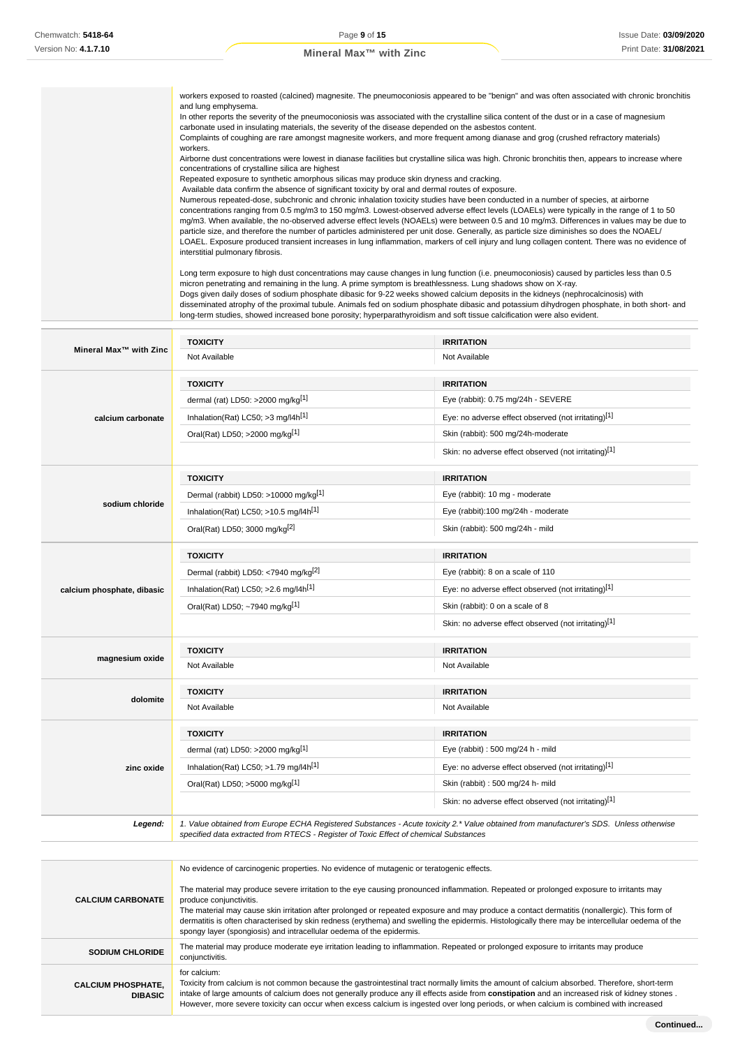workers exposed to roasted (calcined) magnesite. The pneumoconiosis appeared to be "benign" and was often associated with chronic bronchitis and lung emphysema. In other reports the severity of the pneumoconiosis was associated with the crystalline silica content of the dust or in a case of magnesium carbonate used in insulating materials, the severity of the disease depended on the asbestos content. Complaints of coughing are rare amongst magnesite workers, and more frequent among dianase and grog (crushed refractory materials) workers. Airborne dust concentrations were lowest in dianase facilities but crystalline silica was high. Chronic bronchitis then, appears to increase where concentrations of crystalline silica are highest Repeated exposure to synthetic amorphous silicas may produce skin dryness and cracking. Available data confirm the absence of significant toxicity by oral and dermal routes of exposure. Numerous repeated-dose, subchronic and chronic inhalation toxicity studies have been conducted in a number of species, at airborne concentrations ranging from 0.5 mg/m3 to 150 mg/m3. Lowest-observed adverse effect levels (LOAELs) were typically in the range of 1 to 50 mg/m3. When available, the no-observed adverse effect levels (NOAELs) were between 0.5 and 10 mg/m3. Differences in values may be due to particle size, and therefore the number of particles administered per unit dose. Generally, as particle size diminishes so does the NOAEL LOAEL. Exposure produced transient increases in lung inflammation, markers of cell injury and lung collagen content. There was no evidence of interstitial pulmonary fibrosis. Long term exposure to high dust concentrations may cause changes in lung function (i.e. pneumoconiosis) caused by particles less than 0.5 micron penetrating and remaining in the lung. A prime symptom is breathlessness. Lung shadows show on X-ray. Dogs given daily doses of sodium phosphate dibasic for 9-22 weeks showed calcium deposits in the kidneys (nephrocalcinosis) with disseminated atrophy of the proximal tubule. Animals fed on sodium phosphate dibasic and potassium dihydrogen phosphate, in both short- and long-term studies, showed increased bone porosity; hyperparathyroidism and soft tissue calcification were also evident. **Mineral Max™ with Zinc TOXICITY IRRITATION** Not Available Not Available **calcium carbonate TOXICITY IRRITATION** dermal (rat) LD50: >2000 mg/kg<sup>[1]</sup> execution of the set of the set of the set of the set of the set of the set of the set of the set of the set of the set of the set of the set of the set of the set of the set of the set Inhalation(Rat) LC50; >3 mg/l4h<sup>[1]</sup>  $Eye: no$  adverse effect observed (not irritating)<sup>[1]</sup> Oral(Rat) LD50; >2000 mg/kg[1] Skin (rabbit): 500 mg/24h-moderate Skin: no adverse effect observed (not irritating)[1] **sodium chloride TOXICITY IRRITATION** Dermal (rabbit) LD50: >10000 mg/kg<sup>[1]</sup> example and the state of the Eye (rabbit): 10 mg - moderate Inhalation(Rat) LC50; >10.5 mg/l4h<sup>[1]</sup> exercise the state of the state of the state of the state of the state of the state of the state of the state of the state of the state of the state of the state of the state of the Oral(Rat) LD50; 3000 mg/kg[2] Skin (rabbit): 500 mg/24h - mild **calcium phosphate, dibasic TOXICITY IRRITATION** Dermal (rabbit) LD50: <7940 mg/kg<sup>[2]</sup> example and the set of 110 Eye (rabbit): 8 on a scale of 110 Inhalation(Rat) LC50; >2.6 mg/l4h<sup>[1]</sup>  $Eye: no$  adverse effect observed (not irritating)<sup>[1]</sup> Oral(Rat) LD50; ~7940 mg/kg<sup>[1]</sup> Skin (rabbit): 0 on a scale of 8 Skin: no adverse effect observed (not irritating)[1] **magnesium oxide TOXICITY IRRITATION** Not Available Not Available **dolomite TOXICITY IRRITATION** Not Available Not Available **TOXICITY IRRITATION**

**zinc oxide** dermal (rat) LD50: >2000 mg/kg<sup>[1]</sup> exercise that the set of the set of the set of the set of the set of the set of the set of the set of the set of the set of the set of the set of the set of the set of the set of the set Inhalation(Rat) LC50; >1.79 mg/l4h<sup>[1]</sup> Eye: no adverse effect observed (not irritating)<sup>[1]</sup> Oral(Rat) LD50; >5000 mg/kg[1] Skin (rabbit) : 500 mg/24 h- mild Skin: no adverse effect observed (not irritating)[1] Legend: 1. Value obtained from Europe ECHA Registered Substances - Acute toxicity 2.\* Value obtained from manufacturer's SDS. Unless otherwise specified data extracted from RTECS - Register of Toxic Effect of chemical Substances No evidence of carcinogenic properties. No evidence of mutagenic or teratogenic effects.

**CALCIUM CARBONATE** The material may produce severe irritation to the eye causing pronounced inflammation. Repeated or prolonged exposure to irritants may produce conjunctivitis. The material may cause skin irritation after prolonged or repeated exposure and may produce a contact dermatitis (nonallergic). This form of

dermatitis is often characterised by skin redness (erythema) and swelling the epidermis. Histologically there may be intercellular oedema of the spongy layer (spongiosis) and intracellular oedema of the epidermis.

**SODILIM CHLORIDE** The material may produce moderate eye irritation leading to inflammation. Repeated or prolonged exposure to irritants may produce conjunctivitis.

**CALCIUM PHOSPHATE, DIBASIC** for calcium:

Toxicity from calcium is not common because the gastrointestinal tract normally limits the amount of calcium absorbed. Therefore, short-term intake of large amounts of calcium does not generally produce any ill effects aside from **constipation** and an increased risk of kidney stones . However, more severe toxicity can occur when excess calcium is ingested over long periods, or when calcium is combined with increased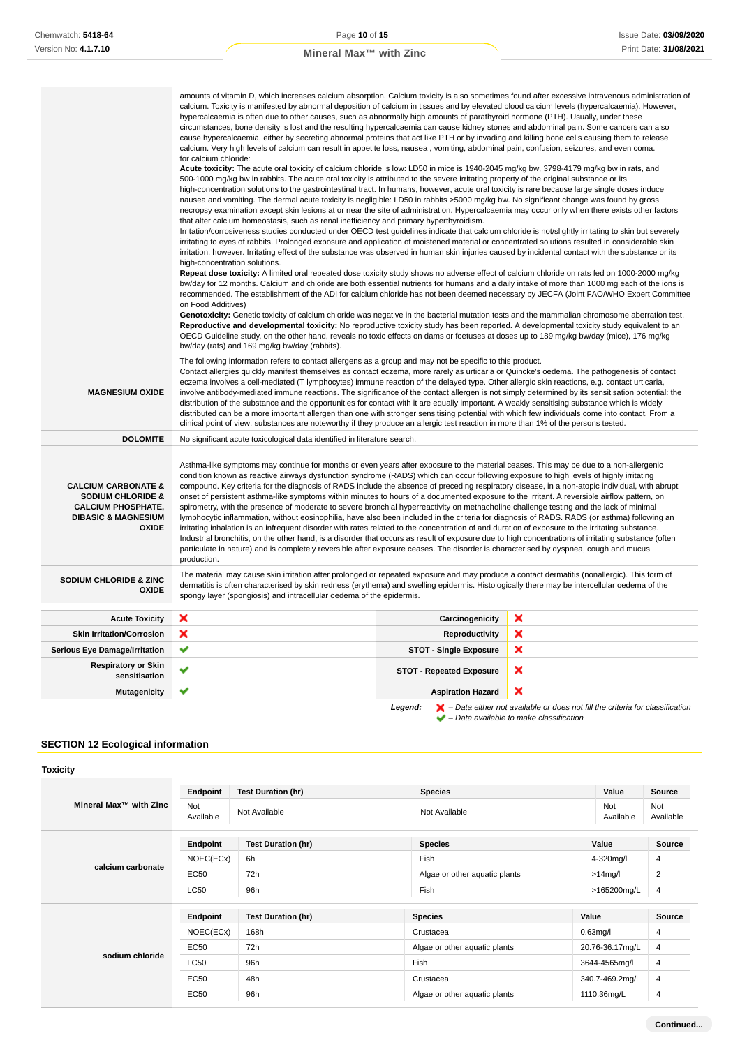|                                                | amounts of vitamin D, which increases calcium absorption. Calcium toxicity is also sometimes found after excessive intravenous administration of<br>calcium. Toxicity is manifested by abnormal deposition of calcium in tissues and by elevated blood calcium levels (hypercalcaemia). However,   |                                 |                                                      |  |  |  |
|------------------------------------------------|----------------------------------------------------------------------------------------------------------------------------------------------------------------------------------------------------------------------------------------------------------------------------------------------------|---------------------------------|------------------------------------------------------|--|--|--|
|                                                | hypercalcaemia is often due to other causes, such as abnormally high amounts of parathyroid hormone (PTH). Usually, under these                                                                                                                                                                    |                                 |                                                      |  |  |  |
|                                                | circumstances, bone density is lost and the resulting hypercalcaemia can cause kidney stones and abdominal pain. Some cancers can also                                                                                                                                                             |                                 |                                                      |  |  |  |
|                                                | cause hypercalcaemia, either by secreting abnormal proteins that act like PTH or by invading and killing bone cells causing them to release                                                                                                                                                        |                                 |                                                      |  |  |  |
|                                                | calcium. Very high levels of calcium can result in appetite loss, nausea, vomiting, abdominal pain, confusion, seizures, and even coma.<br>for calcium chloride:                                                                                                                                   |                                 |                                                      |  |  |  |
|                                                | Acute toxicity: The acute oral toxicity of calcium chloride is low: LD50 in mice is 1940-2045 mg/kg bw, 3798-4179 mg/kg bw in rats, and                                                                                                                                                            |                                 |                                                      |  |  |  |
|                                                | 500-1000 mg/kg bw in rabbits. The acute oral toxicity is attributed to the severe irritating property of the original substance or its                                                                                                                                                             |                                 |                                                      |  |  |  |
|                                                | high-concentration solutions to the gastrointestinal tract. In humans, however, acute oral toxicity is rare because large single doses induce                                                                                                                                                      |                                 |                                                      |  |  |  |
|                                                | nausea and vomiting. The dermal acute toxicity is negligible: LD50 in rabbits >5000 mg/kg bw. No significant change was found by gross<br>necropsy examination except skin lesions at or near the site of administration. Hypercalcaemia may occur only when there exists other factors            |                                 |                                                      |  |  |  |
|                                                | that alter calcium homeostasis, such as renal inefficiency and primary hyperthyroidism.                                                                                                                                                                                                            |                                 |                                                      |  |  |  |
|                                                | Irritation/corrosiveness studies conducted under OECD test guidelines indicate that calcium chloride is not/slightly irritating to skin but severely                                                                                                                                               |                                 |                                                      |  |  |  |
|                                                | irritating to eyes of rabbits. Prolonged exposure and application of moistened material or concentrated solutions resulted in considerable skin                                                                                                                                                    |                                 |                                                      |  |  |  |
|                                                | irritation, however. Irritating effect of the substance was observed in human skin injuries caused by incidental contact with the substance or its<br>high-concentration solutions.                                                                                                                |                                 |                                                      |  |  |  |
|                                                | Repeat dose toxicity: A limited oral repeated dose toxicity study shows no adverse effect of calcium chloride on rats fed on 1000-2000 mg/kg                                                                                                                                                       |                                 |                                                      |  |  |  |
|                                                | bw/day for 12 months. Calcium and chloride are both essential nutrients for humans and a daily intake of more than 1000 mg each of the ions is                                                                                                                                                     |                                 |                                                      |  |  |  |
|                                                | recommended. The establishment of the ADI for calcium chloride has not been deemed necessary by JECFA (Joint FAO/WHO Expert Committee                                                                                                                                                              |                                 |                                                      |  |  |  |
|                                                | on Food Additives)                                                                                                                                                                                                                                                                                 |                                 |                                                      |  |  |  |
|                                                | Genotoxicity: Genetic toxicity of calcium chloride was negative in the bacterial mutation tests and the mammalian chromosome aberration test.<br>Reproductive and developmental toxicity: No reproductive toxicity study has been reported. A developmental toxicity study equivalent to an        |                                 |                                                      |  |  |  |
|                                                | OECD Guideline study, on the other hand, reveals no toxic effects on dams or foetuses at doses up to 189 mg/kg bw/day (mice), 176 mg/kg                                                                                                                                                            |                                 |                                                      |  |  |  |
|                                                | bw/day (rats) and 169 mg/kg bw/day (rabbits).                                                                                                                                                                                                                                                      |                                 |                                                      |  |  |  |
|                                                | The following information refers to contact allergens as a group and may not be specific to this product.                                                                                                                                                                                          |                                 |                                                      |  |  |  |
|                                                | Contact allergies quickly manifest themselves as contact eczema, more rarely as urticaria or Quincke's oedema. The pathogenesis of contact                                                                                                                                                         |                                 |                                                      |  |  |  |
| <b>MAGNESIUM OXIDE</b>                         | eczema involves a cell-mediated (T lymphocytes) immune reaction of the delayed type. Other allergic skin reactions, e.g. contact urticaria,                                                                                                                                                        |                                 |                                                      |  |  |  |
|                                                | involve antibody-mediated immune reactions. The significance of the contact allergen is not simply determined by its sensitisation potential: the<br>distribution of the substance and the opportunities for contact with it are equally important. A weakly sensitising substance which is widely |                                 |                                                      |  |  |  |
|                                                | distributed can be a more important allergen than one with stronger sensitising potential with which few individuals come into contact. From a                                                                                                                                                     |                                 |                                                      |  |  |  |
|                                                | clinical point of view, substances are noteworthy if they produce an allergic test reaction in more than 1% of the persons tested.                                                                                                                                                                 |                                 |                                                      |  |  |  |
| <b>DOLOMITE</b>                                | No significant acute toxicological data identified in literature search.                                                                                                                                                                                                                           |                                 |                                                      |  |  |  |
|                                                |                                                                                                                                                                                                                                                                                                    |                                 |                                                      |  |  |  |
|                                                | Asthma-like symptoms may continue for months or even years after exposure to the material ceases. This may be due to a non-allergenic<br>condition known as reactive airways dysfunction syndrome (RADS) which can occur following exposure to high levels of highly irritating                    |                                 |                                                      |  |  |  |
| <b>CALCIUM CARBONATE &amp;</b>                 | compound. Key criteria for the diagnosis of RADS include the absence of preceding respiratory disease, in a non-atopic individual, with abrupt                                                                                                                                                     |                                 |                                                      |  |  |  |
| <b>SODIUM CHLORIDE &amp;</b>                   | onset of persistent asthma-like symptoms within minutes to hours of a documented exposure to the irritant. A reversible airflow pattern, on                                                                                                                                                        |                                 |                                                      |  |  |  |
| <b>CALCIUM PHOSPHATE,</b>                      | spirometry, with the presence of moderate to severe bronchial hyperreactivity on methacholine challenge testing and the lack of minimal                                                                                                                                                            |                                 |                                                      |  |  |  |
| <b>DIBASIC &amp; MAGNESIUM</b><br><b>OXIDE</b> | lymphocytic inflammation, without eosinophilia, have also been included in the criteria for diagnosis of RADS. RADS (or asthma) following an<br>irritating inhalation is an infrequent disorder with rates related to the concentration of and duration of exposure to the irritating substance.   |                                 |                                                      |  |  |  |
|                                                | Industrial bronchitis, on the other hand, is a disorder that occurs as result of exposure due to high concentrations of irritating substance (often                                                                                                                                                |                                 |                                                      |  |  |  |
|                                                | particulate in nature) and is completely reversible after exposure ceases. The disorder is characterised by dyspnea, cough and mucus                                                                                                                                                               |                                 |                                                      |  |  |  |
|                                                | production.                                                                                                                                                                                                                                                                                        |                                 |                                                      |  |  |  |
| <b>SODIUM CHLORIDE &amp; ZINC</b>              | The material may cause skin irritation after prolonged or repeated exposure and may produce a contact dermatitis (nonallergic). This form of                                                                                                                                                       |                                 |                                                      |  |  |  |
| <b>OXIDE</b>                                   | dermatitis is often characterised by skin redness (erythema) and swelling epidermis. Histologically there may be intercellular oedema of the                                                                                                                                                       |                                 |                                                      |  |  |  |
|                                                | spongy layer (spongiosis) and intracellular oedema of the epidermis.                                                                                                                                                                                                                               |                                 |                                                      |  |  |  |
| <b>Acute Toxicity</b>                          | ×                                                                                                                                                                                                                                                                                                  | Carcinogenicity                 | ×                                                    |  |  |  |
| <b>Skin Irritation/Corrosion</b>               | ×                                                                                                                                                                                                                                                                                                  | Reproductivity                  | ×                                                    |  |  |  |
| <b>Serious Eye Damage/Irritation</b>           | ✔                                                                                                                                                                                                                                                                                                  | <b>STOT - Single Exposure</b>   | ×                                                    |  |  |  |
| <b>Respiratory or Skin</b><br>sensitisation    | ✔                                                                                                                                                                                                                                                                                                  | <b>STOT - Repeated Exposure</b> | ×                                                    |  |  |  |
| <b>Mutagenicity</b>                            | ✔                                                                                                                                                                                                                                                                                                  | <b>Aspiration Hazard</b>        | ×                                                    |  |  |  |
|                                                |                                                                                                                                                                                                                                                                                                    |                                 | debts an deep not fill the pulteds for classificatio |  |  |  |

**Legend:**  $\mathbf{X}$  – Data either not available or does not fill the criteria for classification – Data available to make classification

# **SECTION 12 Ecological information**

# **Toxicity**

| Mineral Max™ with Zinc | Endpoint<br>Not<br>Available | <b>Test Duration (hr)</b><br>Not Available | <b>Species</b><br>Not Available | Value<br>Not<br>Available | Source<br>Not<br>Available |
|------------------------|------------------------------|--------------------------------------------|---------------------------------|---------------------------|----------------------------|
|                        | Endpoint                     | <b>Test Duration (hr)</b>                  | <b>Species</b>                  | Value                     | Source                     |
|                        | NOEC(ECx)                    | 6h                                         | Fish                            | 4-320mg/l                 | 4                          |
| calcium carbonate      | <b>EC50</b>                  | 72h                                        | Algae or other aquatic plants   | $>14$ mg/l                | 2                          |
|                        | <b>LC50</b>                  | 96h                                        | Fish                            | >165200mg/L               | 4                          |
|                        | Endpoint                     | <b>Test Duration (hr)</b>                  | <b>Species</b>                  | Value                     | Source                     |
|                        | NOEC(ECx)                    | 168h                                       | Crustacea                       | $0.63$ mg/l               | 4                          |
| sodium chloride        | <b>EC50</b>                  | 72h                                        | Algae or other aquatic plants   | 20.76-36.17mg/L           | 4                          |
|                        | <b>LC50</b>                  | 96h                                        | Fish                            | 3644-4565mg/l             | 4                          |
|                        | <b>EC50</b>                  | 48h                                        | Crustacea                       | 340.7-469.2mg/l           | $\overline{4}$             |
|                        | <b>EC50</b>                  | 96h                                        | Algae or other aquatic plants   | 1110.36mg/L               | 4                          |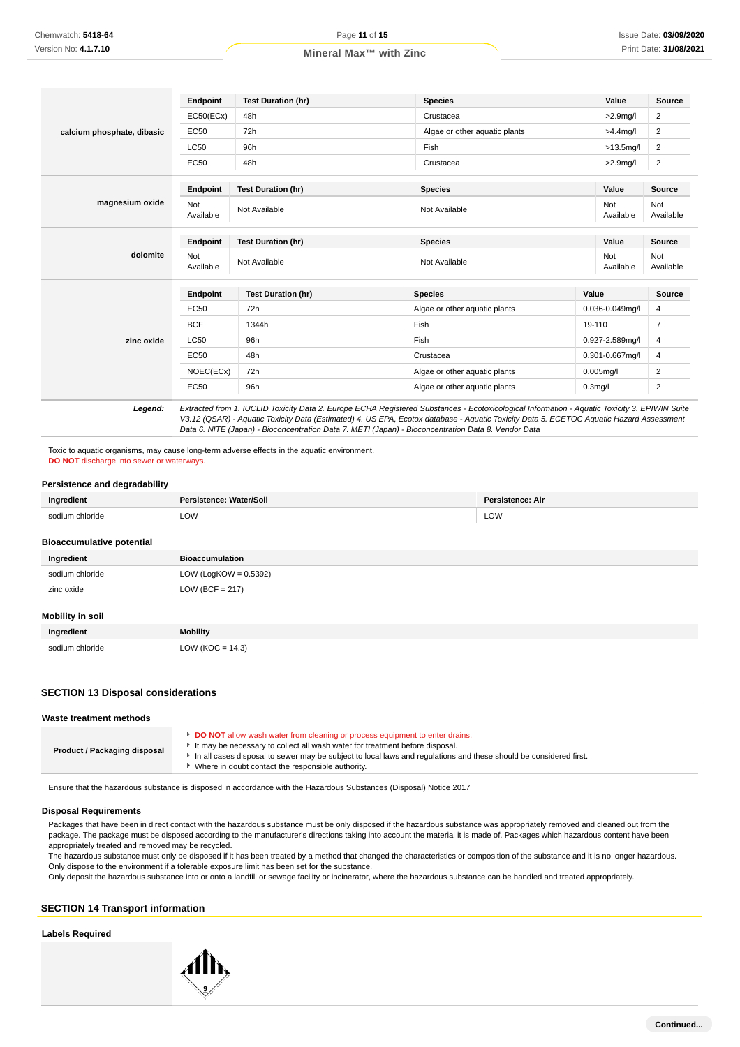|                            | Endpoint         | <b>Test Duration (hr)</b> | <b>Species</b>                | Value            |  | Source                  |
|----------------------------|------------------|---------------------------|-------------------------------|------------------|--|-------------------------|
|                            | EC50(ECx)        | 48h                       | Crustacea                     | $>2.9$ mg/l      |  | $\overline{\mathbf{c}}$ |
| calcium phosphate, dibasic | EC50             | 72h                       | Algae or other aquatic plants | $>4.4$ mg/l      |  | 2                       |
|                            | <b>LC50</b>      | 96h                       | Fish                          | $>13.5$ mg/l     |  | $\overline{2}$          |
|                            | <b>EC50</b>      | 48h                       | Crustacea                     | $>2.9$ mg/l      |  | $\overline{\mathbf{c}}$ |
|                            | <b>Endpoint</b>  | <b>Test Duration (hr)</b> | <b>Species</b>                | Value            |  | <b>Source</b>           |
| magnesium oxide            | Not<br>Available | Not Available             | Not Available                 | Not<br>Available |  | Not<br>Available        |
| dolomite                   | Endpoint         | <b>Test Duration (hr)</b> | <b>Species</b>                | Value            |  | Source                  |
|                            | Not<br>Available | Not Available             | Not Available                 | Not<br>Available |  | Not<br>Available        |
|                            | Endpoint         | <b>Test Duration (hr)</b> | <b>Species</b>                | Value            |  | Source                  |
|                            | EC50             | 72h                       | Algae or other aquatic plants | 0.036-0.049mg/l  |  | 4                       |
|                            | <b>BCF</b>       | 1344h                     | Fish                          | 19-110           |  | $\overline{7}$          |
| zinc oxide                 | <b>LC50</b>      | 96h                       | Fish                          | 0.927-2.589mg/l  |  | 4                       |
|                            | EC50             | 48h                       | Crustacea                     | 0.301-0.667mg/l  |  | 4                       |
|                            | NOEC(ECx)        | 72h                       | Algae or other aquatic plants | $0.005$ mg/l     |  | 2                       |
|                            | EC50             | 96h                       | Algae or other aquatic plants | $0.3$ mg/l       |  | 2                       |

Data 6. NITE (Japan) - Bioconcentration Data 7. METI (Japan) - Bioconcentration Data 8. Vendor Data Toxic to aquatic organisms, may cause long-term adverse effects in the aquatic environment.

**DO NOT** discharge into sewer or waterways.

#### **Persistence and degradability**

| Ingredient                       | Persistence: Water/Soil  | Persistence: Air |
|----------------------------------|--------------------------|------------------|
| sodium chloride                  | LOW                      | LOW              |
| <b>Bioaccumulative potential</b> |                          |                  |
| Ingredient                       | <b>Bioaccumulation</b>   |                  |
| sodium chloride                  | LOW (LogKOW = $0.5392$ ) |                  |
| zinc oxide                       | $LOW (BCF = 217)$        |                  |
| Mobility in poil                 |                          |                  |

# **Mobility in soil**

| Ingredient      | <b>Mobility</b>      |
|-----------------|----------------------|
| sodium chloride | LOW ( $KOC = 14.3$ ) |

### **SECTION 13 Disposal considerations**

| DO NOT allow wash water from cleaning or process equipment to enter drains.<br>It may be necessary to collect all wash water for treatment before disposal.<br>Product / Packaging disposal<br>In all cases disposal to sewer may be subject to local laws and regulations and these should be considered first.<br>Where in doubt contact the responsible authority. | Waste treatment methods |  |
|-----------------------------------------------------------------------------------------------------------------------------------------------------------------------------------------------------------------------------------------------------------------------------------------------------------------------------------------------------------------------|-------------------------|--|
|                                                                                                                                                                                                                                                                                                                                                                       |                         |  |

Ensure that the hazardous substance is disposed in accordance with the Hazardous Substances (Disposal) Notice 2017

#### **Disposal Requirements**

Packages that have been in direct contact with the hazardous substance must be only disposed if the hazardous substance was appropriately removed and cleaned out from the package. The package must be disposed according to the manufacturer's directions taking into account the material it is made of. Packages which hazardous content have been appropriately treated and removed may be recycled.

The hazardous substance must only be disposed if it has been treated by a method that changed the characteristics or composition of the substance and it is no longer hazardous. Only dispose to the environment if a tolerable exposure limit has been set for the substance.

Only deposit the hazardous substance into or onto a landfill or sewage facility or incinerator, where the hazardous substance can be handled and treated appropriately.

## **SECTION 14 Transport information**

#### **Labels Required**

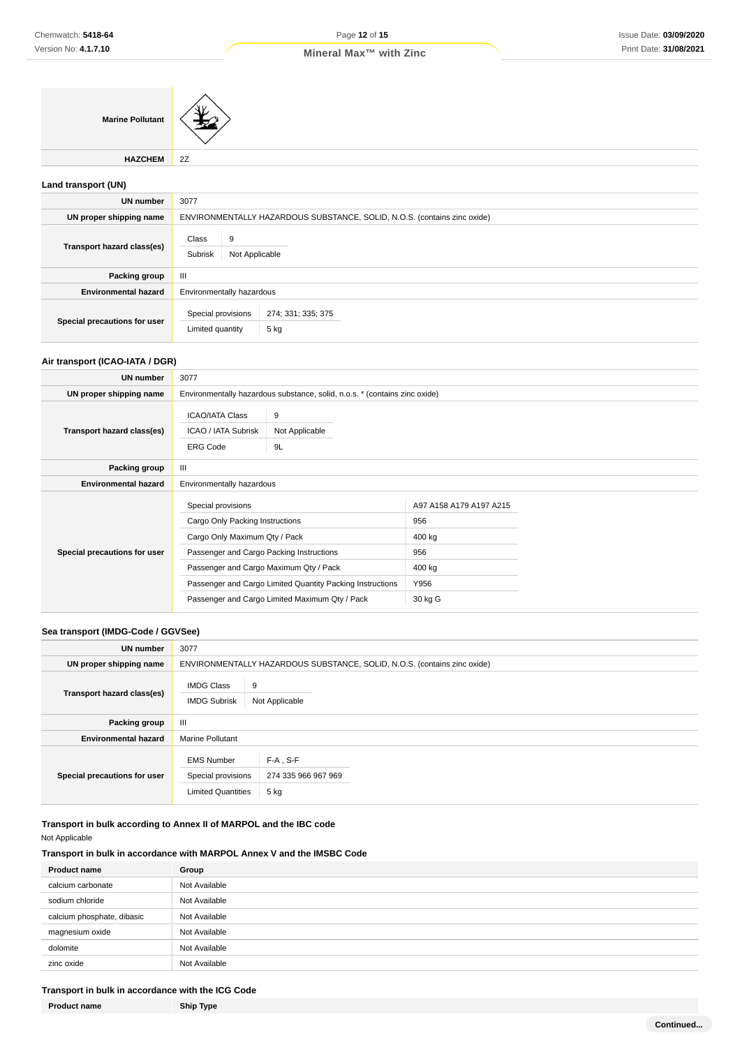# Page **12** of **15**

**Marine Pollutant**

**HAZCHEM** 2Z

# **Land transport (UN)**

| <b>UN number</b>             | 3077                                                                     |  |  |
|------------------------------|--------------------------------------------------------------------------|--|--|
| UN proper shipping name      | ENVIRONMENTALLY HAZARDOUS SUBSTANCE, SOLID, N.O.S. (contains zinc oxide) |  |  |
| Transport hazard class(es)   | Class<br>9<br>Subrisk<br>Not Applicable                                  |  |  |
| Packing group                | Ш                                                                        |  |  |
| <b>Environmental hazard</b>  | Environmentally hazardous                                                |  |  |
| Special precautions for user | Special provisions<br>274; 331; 335; 375<br>5 kg<br>Limited quantity     |  |  |

# **Air transport (ICAO-IATA / DGR)**

| UN number                    | 3077                                                             |                                                                            |                         |  |
|------------------------------|------------------------------------------------------------------|----------------------------------------------------------------------------|-------------------------|--|
| UN proper shipping name      |                                                                  | Environmentally hazardous substance, solid, n.o.s. * (contains zinc oxide) |                         |  |
| Transport hazard class(es)   | <b>ICAO/IATA Class</b><br>ICAO / IATA Subrisk<br><b>ERG Code</b> | 9<br>Not Applicable<br>9L                                                  |                         |  |
| Packing group                | Ш                                                                |                                                                            |                         |  |
| <b>Environmental hazard</b>  | Environmentally hazardous                                        |                                                                            |                         |  |
|                              | Special provisions                                               |                                                                            | A97 A158 A179 A197 A215 |  |
|                              | Cargo Only Packing Instructions                                  |                                                                            | 956                     |  |
|                              | Cargo Only Maximum Qty / Pack                                    |                                                                            | 400 kg                  |  |
| Special precautions for user | Passenger and Cargo Packing Instructions                         |                                                                            | 956                     |  |
|                              | Passenger and Cargo Maximum Qty / Pack                           |                                                                            | 400 kg                  |  |
|                              |                                                                  | Passenger and Cargo Limited Quantity Packing Instructions                  | Y956                    |  |
|                              | Passenger and Cargo Limited Maximum Qty / Pack                   |                                                                            | 30 kg G                 |  |

# **Sea transport (IMDG-Code / GGVSee)**

| UN number                    | 3077                                                                     |                                            |  |
|------------------------------|--------------------------------------------------------------------------|--------------------------------------------|--|
| UN proper shipping name      | ENVIRONMENTALLY HAZARDOUS SUBSTANCE, SOLID, N.O.S. (contains zinc oxide) |                                            |  |
| Transport hazard class(es)   | <b>IMDG Class</b><br>9<br><b>IMDG Subrisk</b><br>Not Applicable          |                                            |  |
| Packing group                | Ш                                                                        |                                            |  |
| <b>Environmental hazard</b>  | <b>Marine Pollutant</b>                                                  |                                            |  |
| Special precautions for user | <b>EMS Number</b><br>Special provisions<br><b>Limited Quantities</b>     | $F-A$ , S-F<br>274 335 966 967 969<br>5 kg |  |

**Transport in bulk according to Annex II of MARPOL and the IBC code**

Not Applicable

# **Transport in bulk in accordance with MARPOL Annex V and the IMSBC Code**

| <b>Product name</b>        | Group         |
|----------------------------|---------------|
| calcium carbonate          | Not Available |
| sodium chloride            | Not Available |
| calcium phosphate, dibasic | Not Available |
| magnesium oxide            | Not Available |
| dolomite                   | Not Available |
| zinc oxide                 | Not Available |

# **Transport in bulk in accordance with the ICG Code**

| <b>Product name</b> |
|---------------------|
|---------------------|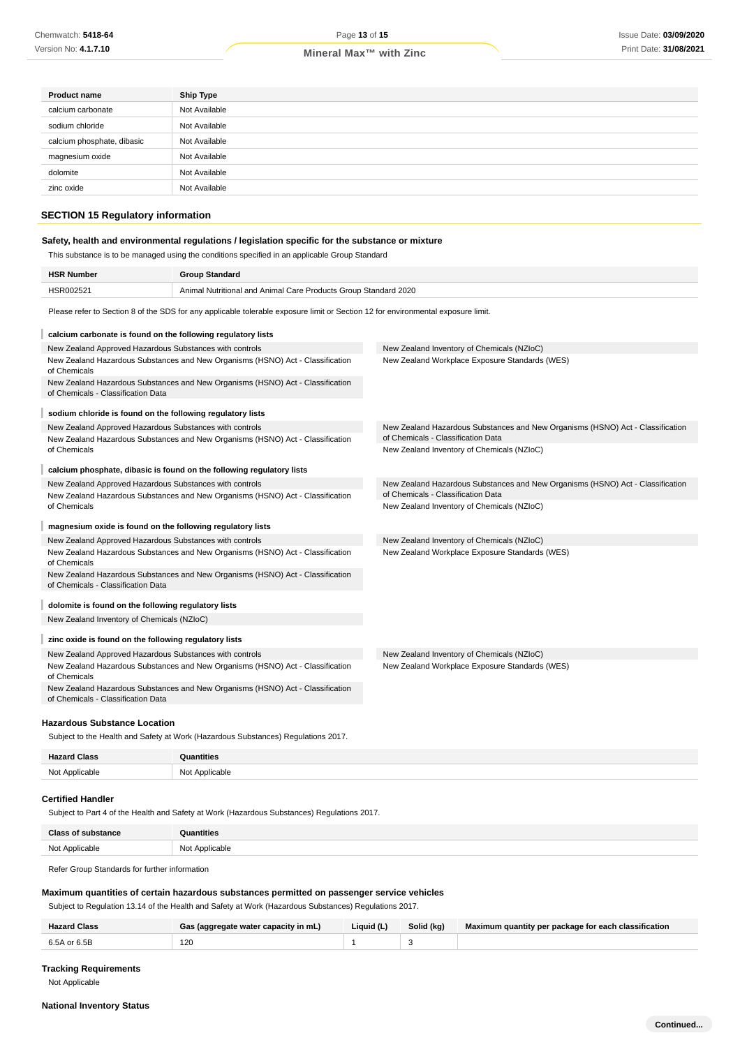| <b>Product name</b>        | <b>Ship Type</b> |
|----------------------------|------------------|
| calcium carbonate          | Not Available    |
| sodium chloride            | Not Available    |
| calcium phosphate, dibasic | Not Available    |
| magnesium oxide            | Not Available    |
| dolomite                   | Not Available    |
| zinc oxide                 | Not Available    |
|                            |                  |

# **SECTION 15 Regulatory information**

## **Safety, health and environmental regulations / legislation specific for the substance or mixture**

This substance is to be managed using the conditions specified in an applicable Group Standard

| <b>HSR Number</b>                                                                                                                         | <b>Group Standard</b>                                                          |                                                                                                                      |  |  |  |
|-------------------------------------------------------------------------------------------------------------------------------------------|--------------------------------------------------------------------------------|----------------------------------------------------------------------------------------------------------------------|--|--|--|
| HSR002521<br>Animal Nutritional and Animal Care Products Group Standard 2020                                                              |                                                                                |                                                                                                                      |  |  |  |
| Please refer to Section 8 of the SDS for any applicable tolerable exposure limit or Section 12 for environmental exposure limit.          |                                                                                |                                                                                                                      |  |  |  |
| calcium carbonate is found on the following regulatory lists                                                                              |                                                                                |                                                                                                                      |  |  |  |
| New Zealand Approved Hazardous Substances with controls                                                                                   |                                                                                | New Zealand Inventory of Chemicals (NZIoC)                                                                           |  |  |  |
| New Zealand Hazardous Substances and New Organisms (HSNO) Act - Classification<br>of Chemicals                                            |                                                                                | New Zealand Workplace Exposure Standards (WES)                                                                       |  |  |  |
| New Zealand Hazardous Substances and New Organisms (HSNO) Act - Classification<br>of Chemicals - Classification Data                      |                                                                                |                                                                                                                      |  |  |  |
| sodium chloride is found on the following regulatory lists                                                                                |                                                                                |                                                                                                                      |  |  |  |
| New Zealand Approved Hazardous Substances with controls<br>New Zealand Hazardous Substances and New Organisms (HSNO) Act - Classification |                                                                                | New Zealand Hazardous Substances and New Organisms (HSNO) Act - Classification<br>of Chemicals - Classification Data |  |  |  |
| of Chemicals                                                                                                                              |                                                                                | New Zealand Inventory of Chemicals (NZIoC)                                                                           |  |  |  |
|                                                                                                                                           | calcium phosphate, dibasic is found on the following regulatory lists          |                                                                                                                      |  |  |  |
| New Zealand Approved Hazardous Substances with controls                                                                                   |                                                                                | New Zealand Hazardous Substances and New Organisms (HSNO) Act - Classification                                       |  |  |  |
|                                                                                                                                           | New Zealand Hazardous Substances and New Organisms (HSNO) Act - Classification | of Chemicals - Classification Data                                                                                   |  |  |  |
| of Chemicals                                                                                                                              |                                                                                | New Zealand Inventory of Chemicals (NZIoC)                                                                           |  |  |  |
| magnesium oxide is found on the following regulatory lists                                                                                |                                                                                |                                                                                                                      |  |  |  |
| New Zealand Approved Hazardous Substances with controls                                                                                   |                                                                                | New Zealand Inventory of Chemicals (NZIoC)                                                                           |  |  |  |
| New Zealand Hazardous Substances and New Organisms (HSNO) Act - Classification<br>of Chemicals                                            |                                                                                | New Zealand Workplace Exposure Standards (WES)                                                                       |  |  |  |
| of Chemicals - Classification Data                                                                                                        | New Zealand Hazardous Substances and New Organisms (HSNO) Act - Classification |                                                                                                                      |  |  |  |
| dolomite is found on the following regulatory lists                                                                                       |                                                                                |                                                                                                                      |  |  |  |
| New Zealand Inventory of Chemicals (NZIoC)                                                                                                |                                                                                |                                                                                                                      |  |  |  |
| zinc oxide is found on the following regulatory lists                                                                                     |                                                                                |                                                                                                                      |  |  |  |
| New Zealand Approved Hazardous Substances with controls                                                                                   |                                                                                | New Zealand Inventory of Chemicals (NZIoC)                                                                           |  |  |  |
| New Zealand Hazardous Substances and New Organisms (HSNO) Act - Classification<br>of Chemicals                                            |                                                                                | New Zealand Workplace Exposure Standards (WES)                                                                       |  |  |  |
| of Chemicals - Classification Data                                                                                                        | New Zealand Hazardous Substances and New Organisms (HSNO) Act - Classification |                                                                                                                      |  |  |  |

### **Hazardous Substance Location**

Subject to the Health and Safety at Work (Hazardous Substances) Regulations 2017.

| <b>Hazard Class</b> | Quantities     |
|---------------------|----------------|
| Not Applicable      | Not Applicable |

#### **Certified Handler**

Subject to Part 4 of the Health and Safety at Work (Hazardous Substances) Regulations 2017.

| Close          | ıantities                       |
|----------------|---------------------------------|
| Not Applicable | t Annlicable<br>N <sub>nt</sub> |

Refer Group Standards for further information

### **Maximum quantities of certain hazardous substances permitted on passenger service vehicles**

Subject to Regulation 13.14 of the Health and Safety at Work (Hazardous Substances) Regulations 2017.

| <b>Hazard Class</b> | Gas (aggregate water capacity in mL) | Liquid (L) | Solid (kg) | Maximum quantity per package for each classification |
|---------------------|--------------------------------------|------------|------------|------------------------------------------------------|
| 6.5A or 6.5B        | 120                                  |            |            |                                                      |

### **Tracking Requirements**

Not Applicable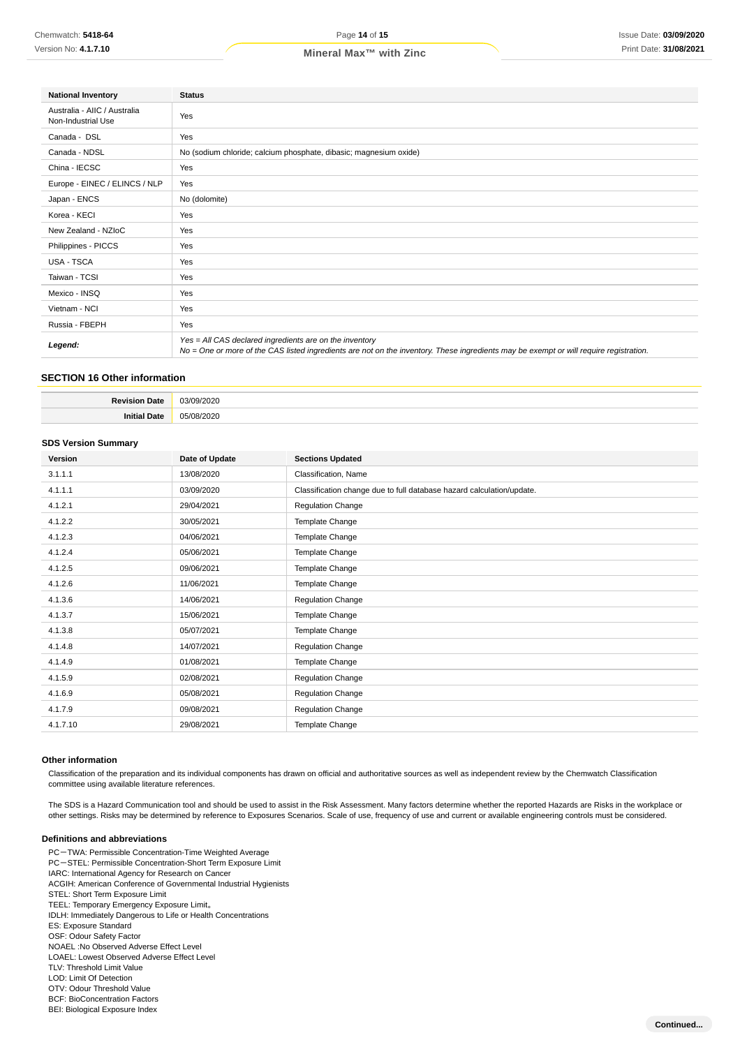| <b>National Inventory</b>                          | <b>Status</b>                                                                                                                                                                                     |
|----------------------------------------------------|---------------------------------------------------------------------------------------------------------------------------------------------------------------------------------------------------|
| Australia - AIIC / Australia<br>Non-Industrial Use | Yes                                                                                                                                                                                               |
| Canada - DSL                                       | Yes                                                                                                                                                                                               |
| Canada - NDSL                                      | No (sodium chloride; calcium phosphate, dibasic; magnesium oxide)                                                                                                                                 |
| China - IECSC                                      | Yes                                                                                                                                                                                               |
| Europe - EINEC / ELINCS / NLP                      | Yes                                                                                                                                                                                               |
| Japan - ENCS                                       | No (dolomite)                                                                                                                                                                                     |
| Korea - KECI                                       | Yes                                                                                                                                                                                               |
| New Zealand - NZIoC                                | Yes                                                                                                                                                                                               |
| Philippines - PICCS                                | Yes                                                                                                                                                                                               |
| USA - TSCA                                         | Yes                                                                                                                                                                                               |
| Taiwan - TCSI                                      | Yes                                                                                                                                                                                               |
| Mexico - INSQ                                      | Yes                                                                                                                                                                                               |
| Vietnam - NCI                                      | Yes                                                                                                                                                                                               |
| Russia - FBEPH                                     | Yes                                                                                                                                                                                               |
| Legend:                                            | Yes = All CAS declared ingredients are on the inventory<br>No = One or more of the CAS listed ingredients are not on the inventory. These ingredients may be exempt or will require registration. |

### **SECTION 16 Other information**

| в.<br><b>Date</b>    | 03/0<br>, ה ה<br>72020<br>. |
|----------------------|-----------------------------|
| ---<br>Initi<br>Date | וכחי<br>าร/กล<br>-<br>.     |

### **SDS Version Summary**

| Version  | Date of Update | <b>Sections Updated</b>                                               |
|----------|----------------|-----------------------------------------------------------------------|
| 3.1.1.1  | 13/08/2020     | Classification, Name                                                  |
| 4.1.1.1  | 03/09/2020     | Classification change due to full database hazard calculation/update. |
| 4.1.2.1  | 29/04/2021     | <b>Regulation Change</b>                                              |
| 4.1.2.2  | 30/05/2021     | Template Change                                                       |
| 4.1.2.3  | 04/06/2021     | Template Change                                                       |
| 4.1.2.4  | 05/06/2021     | Template Change                                                       |
| 4.1.2.5  | 09/06/2021     | Template Change                                                       |
| 4.1.2.6  | 11/06/2021     | Template Change                                                       |
| 4.1.3.6  | 14/06/2021     | <b>Regulation Change</b>                                              |
| 4.1.3.7  | 15/06/2021     | Template Change                                                       |
| 4.1.3.8  | 05/07/2021     | Template Change                                                       |
| 4.1.4.8  | 14/07/2021     | <b>Regulation Change</b>                                              |
| 4.1.4.9  | 01/08/2021     | Template Change                                                       |
| 4.1.5.9  | 02/08/2021     | <b>Regulation Change</b>                                              |
| 4.1.6.9  | 05/08/2021     | <b>Regulation Change</b>                                              |
| 4.1.7.9  | 09/08/2021     | <b>Regulation Change</b>                                              |
| 4.1.7.10 | 29/08/2021     | Template Change                                                       |

#### **Other information**

Classification of the preparation and its individual components has drawn on official and authoritative sources as well as independent review by the Chemwatch Classification committee using available literature references.

The SDS is a Hazard Communication tool and should be used to assist in the Risk Assessment. Many factors determine whether the reported Hazards are Risks in the workplace or other settings. Risks may be determined by reference to Exposures Scenarios. Scale of use, frequency of use and current or available engineering controls must be considered.

### **Definitions and abbreviations**

- PC-TWA: Permissible Concentration-Time Weighted Average PC-STEL: Permissible Concentration-Short Term Exposure Limit IARC: International Agency for Research on Cancer ACGIH: American Conference of Governmental Industrial Hygienists STEL: Short Term Exposure Limit TEEL: Temporary Emergency Exposure Limit。 IDLH: Immediately Dangerous to Life or Health Concentrations ES: Exposure Standard OSF: Odour Safety Factor NOAEL :No Observed Adverse Effect Level LOAEL: Lowest Observed Adverse Effect Level TLV: Threshold Limit Value LOD: Limit Of Detection OTV: Odour Threshold Value BCF: BioConcentration Factors
- BEI: Biological Exposure Index